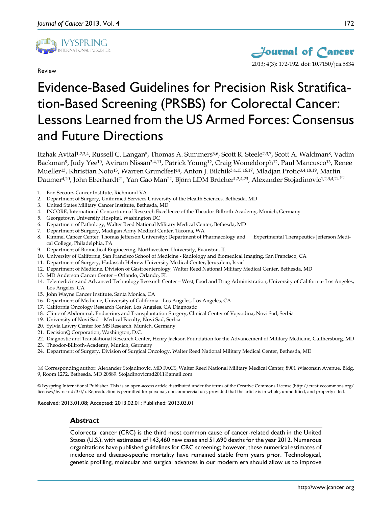

Review



# Evidence-Based Guidelines for Precision Risk Stratification-Based Screening (PRSBS) for Colorectal Cancer: Lessons Learned from the US Armed Forces: Consensus and Future Directions

Itzhak Avital<sup>1,2,3,4</sup>, Russell C. Langan<sup>5</sup>, Thomas A. Summers<sup>3,6</sup>, Scott R. Steele<sup>2,3,7</sup>, Scott A. Waldman<sup>8</sup>, Vadim Backman<sup>9</sup>, Judy Yee<sup>10</sup>, Aviram Nissan<sup>3,4,11</sup>, Patrick Young<sup>12</sup>, Craig Womeldorph<sup>12</sup>, Paul Mancusco<sup>13</sup>, Renee Mueller13, Khristian Noto13, Warren Grundfest14, Anton J. Bilchik3,4,15,16,17, Mladjan Protic3,4,18,19, Martin Daumer<sup>4,20</sup>, John Eberhardt<sup>21</sup>, Yan Gao Man<sup>22</sup>, Björn LDM Brücher<sup>1,2,4,23</sup>, Alexander Stojadinovic<sup>1,2,3,4,24</sub> ⊠</sup>

- 1. Bon Secours Cancer Institute, Richmond VA
- 2. Department of Surgery, Uniformed Services University of the Health Sciences, Bethesda, MD
- 3. United States Military Cancer Institute, Bethesda, MD
- 4. INCORE, International Consortium of Research Excellence of the Theodor-Billroth-Academy, Munich, Germany
- 5. Georgetown University Hospital, Washington DC
- 6. Department of Pathology, Walter Reed National Military Medical Center, Bethesda, MD
- 7. Department of Surgery, Madigan Army Medical Center, Tacoma, WA
- 8. Kimmel Cancer Center, Thomas Jefferson University; Department of Pharmacology and Experimental Therapeutics Jefferson Medical College, Philadelphia, PA
- 9. Department of Biomedical Engineering, Northwestern University, Evanston, IL
- 10. University of California, San Francisco School of Medicine Radiology and Biomedical Imaging, San Francisco, CA
- 11. Department of Surgery, Hadassah Hebrew University Medical Center, Jerusalem, Israel
- 12. Department of Medicine, Division of Gastroenterology, Walter Reed National Military Medical Center, Bethesda, MD
- 13. MD Anderson Cancer Center Orlando, Orlando, FL
- 14. Telemedicine and Advanced Technology Research Center West; Food and Drug Administration; University of California- Los Angeles, Los Angeles, CA
- 15. John Wayne Cancer Institute, Santa Monica, CA
- 16. Department of Medicine, University of California Los Angeles, Los Angeles, CA
- 17. California Oncology Research Center, Los Angeles, CA Diagnostic
- 18. Clinic of Abdominal, Endocrine, and Transplantation Surgery, Clinical Center of Vojvodina, Novi Sad, Serbia
- 19. University of Novi Sad Medical Faculty, Novi Sad, Serbia
- 20. Sylvia Lawry Center for MS Research, Munich, Germany
- 21. DecisionQ Corporation, Washington, D.C.
- 22. Diagnostic and Translational Research Center, Henry Jackson Foundation for the Advancement of Military Medicine, Gaithersburg, MD
- 23. Theodor-Billroth-Academy, Munich, Germany
- 24. Department of Surgery, Division of Surgical Oncology, Walter Reed National Military Medical Center, Bethesda, MD

 Corresponding author: Alexander Stojadinovic, MD FACS, Walter Reed National Military Medical Center, 8901 Wisconsin Avenue, Bldg. 9, Room 1272, Bethesda, MD 20889. Stojadinovicmd2011@gmail.com

© Ivyspring International Publisher. This is an open-access article distributed under the terms of the Creative Commons License (http://creativecommons.org/ licenses/by-nc-nd/3.0/). Reproduction is permitted for personal, noncommercial use, provided that the article is in whole, unmodified, and properly cited.

Received: 2013.01.08; Accepted: 2013.02.01; Published: 2013.03.01

### **Abstract**

Colorectal cancer (CRC) is the third most common cause of cancer-related death in the United States (U.S.), with estimates of 143,460 new cases and 51,690 deaths for the year 2012. Numerous organizations have published guidelines for CRC screening; however, these numerical estimates of incidence and disease-specific mortality have remained stable from years prior. Technological, genetic profiling, molecular and surgical advances in our modern era should allow us to improve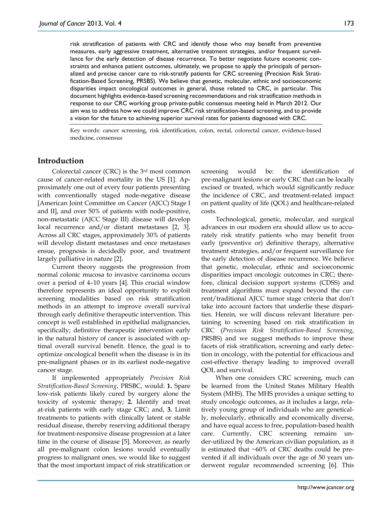risk stratification of patients with CRC and identify those who may benefit from preventive measures, early aggressive treatment, alternative treatment strategies, and/or frequent surveillance for the early detection of disease recurrence. To better negotiate future economic constraints and enhance patient outcomes, ultimately, we propose to apply the principals of personalized and precise cancer care to risk-stratify patients for CRC screening (Precision Risk Stratification-Based Screening, PRSBS). We believe that genetic, molecular, ethnic and socioeconomic disparities impact oncological outcomes in general, those related to CRC, in particular. This document highlights evidence-based screening recommendations and risk stratification methods in response to our CRC working group private-public consensus meeting held in March 2012. Our aim was to address how we could improve CRC risk stratification-based screening, and to provide a vision for the future to achieving superior survival rates for patients diagnosed with CRC.

Key words: cancer screening, risk identification, colon, rectal, colorectal cancer, evidence-based medicine, consensus

# **Introduction**

Colorectal cancer (CRC) is the 3rd most common cause of cancer-related mortality in the US [1]. Approximately one out of every four patients presenting with conventionally staged node-negative disease [American Joint Committee on Cancer (AJCC) Stage I and II], and over 50% of patients with node-positive, non-metastatic (AJCC Stage III) disease will develop local recurrence and/or distant metastases [2, 3]. Across all CRC stages, approximately 30% of patients will develop distant metastases and once metastases ensue, prognosis is decidedly poor, and treatment largely palliative in nature [2].

Current theory suggests the progression from normal colonic mucosa to invasive carcinoma occurs over a period of 4–10 years [4]. This crucial window therefore represents an ideal opportunity to exploit screening modalities based on risk stratification methods in an attempt to improve overall survival through early definitive therapeutic intervention. This concept is well established in epithelial malignancies, specifically; definitive therapeutic intervention early in the natural history of cancer is associated with optimal overall survival benefit. Hence, the goal is to optimize oncological benefit when the disease is in its pre-malignant phases or in its earliest node-negative cancer stage.

If implemented appropriately *Precision Risk Stratification-Based Screening*, PRSBC, would: **1.** Spare low-risk patients likely cured by surgery alone the toxicity of systemic therapy; **2.** Identify and treat at-risk patients with early stage CRC; and, **3.** Limit treatments to patients with clinically latent or stable residual disease, thereby reserving additional therapy for treatment-responsive disease progression at a later time in the course of disease [5]. Moreover, as nearly all pre-malignant colon lesions would eventually progress to malignant ones, we would like to suggest that the most important impact of risk stratification or

screening would be: the identification of pre-malignant lesions or early CRC that can be locally excised or treated, which would significantly reduce the incidence of CRC, and treatment-related impact on patient quality of life (QOL) and healthcare-related costs.

Technological, genetic, molecular, and surgical advances in our modern era should allow us to accurately risk stratify patients who may benefit from early (preventive or) definitive therapy, alternative treatment strategies, and/or frequent surveillance for the early detection of disease recurrence. We believe that genetic, molecular, ethnic and socioeconomic disparities impact oncologic outcomes in CRC; therefore, clinical decision support systems (CDSS) and treatment algorithms must expand beyond the current/traditional AJCC tumor stage criteria that don't take into account factors that underlie these disparities. Herein, we will discuss relevant literature pertaining to screening based on risk stratification in CRC (*Precision Risk Stratification-Based Screening*, PRSBS) and we suggest methods to improve these facets of risk stratification, screening and early detection in oncology, with the potential for efficacious and cost-effective therapy leading to improved overall QOL and survival.

When one considers CRC screening, much can be learned from the United States Military Health System (MHS). The MHS provides a unique setting to study oncologic outcomes, as it includes a large, relatively young group of individuals who are genetically, molecularly, ethnically and economically diverse, and have equal access to free, population-based health care. Currently, CRC screening remains under-utilized by the American civilian population, as it is estimated that  $~60\%$  of CRC deaths could be prevented if all individuals over the age of 50 years underwent regular recommended screening [6]. This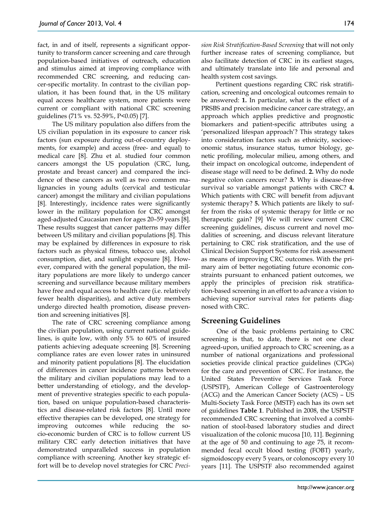fact, in and of itself, represents a significant opportunity to transform cancer screening and care through population-based initiatives of outreach, education and stimulus aimed at improving compliance with recommended CRC screening, and reducing cancer-specific mortality. In contrast to the civilian population, it has been found that, in the US military equal access healthcare system, more patients were current or compliant with national CRC screening guidelines (71% vs. 52-59%, P<0.05) [7].

The US military population also differs from the US civilian population in its exposure to cancer risk factors (sun exposure during out-of-country deployments, for example) and access (free- and equal) to medical care [8]. Zhu et al. studied four common cancers amongst the US population (CRC, lung, prostate and breast cancer) and compared the incidence of these cancers as well as two common malignancies in young adults (cervical and testicular cancer) amongst the military and civilian populations [8]. Interestingly, incidence rates were significantly lower in the military population for CRC amongst aged-adjusted Caucasian men for ages 20–59 years [8]. These results suggest that cancer patterns may differ between US military and civilian populations [8]. This may be explained by differences in exposure to risk factors such as physical fitness, tobacco use, alcohol consumption, diet, and sunlight exposure [8]. However, compared with the general population, the military populations are more likely to undergo cancer screening and surveillance because military members have free and equal access to health care (i.e. relatively fewer health disparities), and active duty members undergo directed health promotion, disease prevention and screening initiatives [8].

The rate of CRC screening compliance among the civilian population, using current national guidelines, is quite low, with only 5% to 60% of insured patients achieving adequate screening [8]. Screening compliance rates are even lower rates in uninsured and minority patient populations [8]. The elucidation of differences in cancer incidence patterns between the military and civilian populations may lead to a better understanding of etiology, and the development of preventive strategies specific to each population, based on unique population-based characteristics and disease-related risk factors [8]. Until more effective therapies can be developed, one strategy for improving outcomes while reducing the socio-economic burden of CRC is to follow current US military CRC early detection initiatives that have demonstrated unparalleled success in population compliance with screening. Another key strategic effort will be to develop novel strategies for CRC *Preci-* *sion Risk Stratification-Based Screening* that will not only further increase rates of screening compliance, but also facilitate detection of CRC in its earliest stages, and ultimately translate into life and personal and health system cost savings.

Pertinent questions regarding CRC risk stratification, screening and oncological outcomes remain to be answered: **1.** In particular, what is the effect of a PRSBS and precision medicine cancer care strategy, an approach which applies predictive and prognostic biomarkers and patient-specific attributes using a 'personalized lifespan approach'? This strategy takes into consideration factors such as ethnicity, socioeconomic status, insurance status, tumor biology, genetic profiling, molecular milieu, among others, and their impact on oncological outcome, independent of disease stage will need to be defined. **2.** Why do node negative colon cancers recur? **3.** Why is disease-free survival so variable amongst patients with CRC? **4.** Which patients with CRC will benefit from adjuvant systemic therapy? **5.** Which patients are likely to suffer from the risks of systemic therapy for little or no therapeutic gain? [9] We will review current CRC screening guidelines, discuss current and novel modalities of screening, and discuss relevant literature pertaining to CRC risk stratification, and the use of Clinical Decision Support Systems for risk assessment as means of improving CRC outcomes. With the primary aim of better negotiating future economic constraints pursuant to enhanced patient outcomes, we apply the principles of precision risk stratification-based screening in an effort to advance a vision to achieving superior survival rates for patients diagnosed with CRC.

# **Screening Guidelines**

One of the basic problems pertaining to CRC screening is that, to date, there is not one clear agreed-upon, unified approach to CRC screening, as a number of national organizations and professional societies provide clinical practice guidelines (CPGs) for the care and prevention of CRC. For instance, the United States Preventive Services Task Force (USPSTF), American College of Gastroenterology (ACG) and the American Cancer Society (ACS) – US Multi-Society Task Force (MSTF) each has its own set of guidelines **Table 1**. Published in 2008, the USPSTF recommended CRC screening that involved a combination of stool-based laboratory studies and direct visualization of the colonic mucosa [10, 11]. Beginning at the age of 50 and continuing to age 75, it recommended fecal occult blood testing (FOBT) yearly, sigmoidoscopy every 5 years, or colonoscopy every 10 years [11]. The USPSTF also recommended against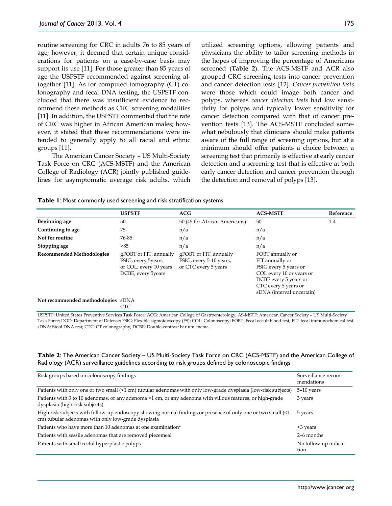routine screening for CRC in adults 76 to 85 years of age; however, it deemed that certain unique considerations for patients on a case-by-case basis may support its use [11]. For those greater than 85 years of age the USPSTF recommended against screening altogether [11]. As for computed tomography (CT) colonography and fecal DNA testing, the USPSTF concluded that there was insufficient evidence to recommend these methods as CRC screening modalities [11]. In addition, the USPSTF commented that the rate of CRC was higher in African American males; however, it stated that these recommendations were intended to generally apply to all racial and ethnic groups [11].

The American Cancer Society – US Multi-Society Task Force on CRC (ACS-MSTF) and the American College of Radiology (ACR) jointly published guidelines for asymptomatic average risk adults, which

utilized screening options, allowing patients and physicians the ability to tailor screening methods in the hopes of improving the percentage of Americans screened (**Table 2**). The ACS-MSTF and ACR also grouped CRC screening tests into cancer prevention and cancer detection tests [12]. *Cancer prevention tests* were those which could image both cancer and polyps, whereas *cancer detection tests* had low sensitivity for polyps and typically lower sensitivity for cancer detection compared with that of cancer prevention tests [13]. The ACS-MSTF concluded somewhat nebulously that clinicians should make patients aware of the full range of screening options, but at a minimum should offer patients a choice between a screening test that primarily is effective at early cancer detection and a screening test that is effective at both early cancer detection and cancer prevention through the detection and removal of polyps [13].

|  |  |  |  |  |  |  | Table 1: Most commonly used screening and risk stratification systems |  |
|--|--|--|--|--|--|--|-----------------------------------------------------------------------|--|
|--|--|--|--|--|--|--|-----------------------------------------------------------------------|--|

|                                    | <b>USPSTF</b>                                                                                | ACG                                                                       | <b>ACS-MSTF</b>                                                                                                                                                        | Reference |
|------------------------------------|----------------------------------------------------------------------------------------------|---------------------------------------------------------------------------|------------------------------------------------------------------------------------------------------------------------------------------------------------------------|-----------|
| Beginning age                      | 50                                                                                           | 50 (45 for African Americans)                                             | 50                                                                                                                                                                     | $1-4$     |
| Continuing to age                  | 75                                                                                           | n/a                                                                       | n/a                                                                                                                                                                    |           |
| Not for routine                    | 76-85                                                                                        | n/a                                                                       | n/a                                                                                                                                                                    |           |
| Stopping age                       | >85                                                                                          | n/a                                                                       | n/a                                                                                                                                                                    |           |
| <b>Recommended Methodologies</b>   | gFOBT or FIT, annually<br>FSIG, every 5years<br>or COL, every 10 years<br>DCBE, every 5years | gFOBT or FIT, annually<br>FSIG, every 5-10 years,<br>or CTC every 5 years | FOBT annually or<br>FIT annually or<br>FSIG every 5 years or<br>COL every 10 or years or<br>DCBE every 5 years or<br>CTC every 5 years or<br>sDNA (interval uncertain) |           |
| Not recommended methodologies sDNA | <b>CTC</b>                                                                                   |                                                                           |                                                                                                                                                                        |           |

USPSTF: United States Preventive Services Task Force; ACG: American College of Gastroenterology; AS-MSTF: American Cancer Society – US Multi-Society Task Force; DOD: Department of Defense; FSIG: Flexible sigmoidoscopy (FS); COL: Colonoscopy; FOBT: Fecal occult blood test; FIT: fecal immunochemical test sDNA: Stool DNA test; CTC: CT colonography; DCBE: Double-contrast barium enema.

#### **Table 2**: The American Cancer Society – US Multi-Society Task Force on CRC (ACS-MSTF) and the American College of Radiology (ACR) surveillance guidelines according to risk groups defined by colonoscopic findings

| Risk groups based on colonoscopy findings                                                                                                                          | Surveillance recom-<br>mendations |
|--------------------------------------------------------------------------------------------------------------------------------------------------------------------|-----------------------------------|
| Patients with only one or two small (<1 cm) tubular adenomas with only low-grade dysplasia (low-risk subjects)                                                     | 5-10 years                        |
| Patients with 3 to 10 adenomas, or any adenoma >1 cm, or any adenoma with villous features, or high-grade<br>dysplasia (high-risk subjects)                        | 3 years                           |
| High risk subjects with follow-up endoscopy showing normal findings or presence of only one or two small (<1<br>cm) tubular adenomas with only low-grade dysplasia | 5 years                           |
| Patients who have more than 10 adenomas at one examination*                                                                                                        | <3 years                          |
| Patients with sessile adenomas that are removed piecemeal                                                                                                          | 2-6 months                        |
| Patients with small rectal hyperplastic polyps                                                                                                                     | No follow-up indica-<br>tion      |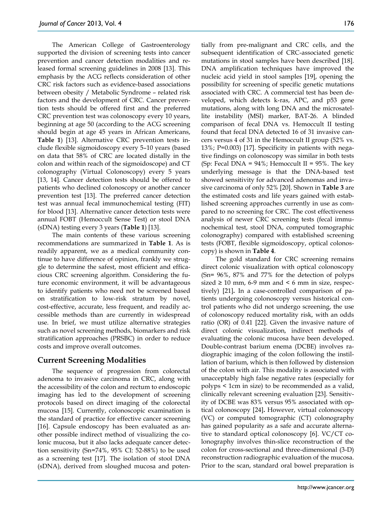The American College of Gastroenterology supported the division of screening tests into cancer prevention and cancer detection modalities and released formal screening guidelines in 2008 [13]. This emphasis by the ACG reflects consideration of other CRC risk factors such as evidence-based associations between obesity / Metabolic Syndrome – related risk factors and the development of CRC. Cancer prevention tests should be offered first and the preferred CRC prevention test was colonoscopy every 10 years, beginning at age 50 (according to the ACG screening should begin at age 45 years in African Americans, **Table 1**) [13]. Alternative CRC prevention tests include flexible sigmoidoscopy every 5–10 years (based on data that 58% of CRC are located distally in the colon and within reach of the sigmoidoscope) and CT colonography (Virtual Colonoscopy) every 5 years [13, 14]. Cancer detection tests should be offered to patients who declined colonoscopy or another cancer prevention test [13]. The preferred cancer detection test was annual fecal immunochemical testing (FIT) for blood [13]. Alternative cancer detection tests were annual FOBT (Hemoccult Sense Test) or stool DNA (sDNA) testing every 3 years (**Table 1**) [13].

The main contents of these various screening recommendations are summarized in **Table 1**. As is readily apparent, we as a medical community continue to have difference of opinion, frankly we struggle to determine the safest, most efficient and efficacious CRC screening algorithm. Considering the future economic environment, it will be advantageous to identify patients who need not be screened based on stratification to low-risk stratum by novel, cost-effective, accurate, less frequent, and readily accessible methods than are currently in widespread use. In brief, we must utilize alternative strategies such as novel screening methods, biomarkers and risk stratification approaches (PRSBC) in order to reduce costs and improve overall outcomes.

## **Current Screening Modalities**

The sequence of progression from colorectal adenoma to invasive carcinoma in CRC, along with the accessibility of the colon and rectum to endoscopic imaging has led to the development of screening protocols based on direct imaging of the colorectal mucosa [15]. Currently, colonoscopic examination is the standard of practice for effective cancer screening [16]. Capsule endoscopy has been evaluated as another possible indirect method of visualizing the colonic mucosa, but it also lacks adequate cancer detection sensitivity (Sn=74%, 95% CI: 52-88%) to be used as a screening test [17]. The isolation of stool DNA (sDNA), derived from sloughed mucosa and potentially from pre-malignant and CRC cells, and the subsequent identification of CRC-associated genetic mutations in stool samples have been described [18]. DNA amplification techniques have improved the nucleic acid yield in stool samples [19], opening the possibility for screening of specific genetic mutations associated with CRC. A commercial test has been developed, which detects k-ras, APC, and p53 gene mutations, along with long DNA and the microsatellite instability (MSI) marker, BAT-26. A blinded comparison of fecal DNA vs. Hemoccult II testing found that fecal DNA detected 16 of 31 invasive cancers versus 4 of 31 in the Hemoccult II group (52% vs. 13%; P=0.003) [17]. Specificity in patients with negative findings on colonoscopy was similar in both tests (Sp: Fecal DNA =  $94\%$ ; Hemoccult II =  $95\%$ . The key underlying message is that the DNA-based test showed sensitivity for advanced adenomas and invasive carcinoma of only 52% [20]. Shown in **Table 3** are the estimated costs and life years gained with established screening approaches currently in use as compared to no screening for CRC. The cost effectiveness analysis of newer CRC screening tests (fecal immunochemical test, stool DNA, computed tomographic colonography) compared with established screening tests (FOBT, flexible sigmoidoscopy, optical colonoscopy) is shown in **Table 4**.

The gold standard for CRC screening remains direct colonic visualization with optical colonoscopy (Sn= 96%, 87% and 77% for the detection of polyps sized  $\geq 10$  mm, 6-9 mm and  $\leq 6$  mm in size, respectively) [21]**.** In a case-controlled comparison of patients undergoing colonoscopy versus historical control patients who did not undergo screening, the use of colonoscopy reduced mortality risk, with an odds ratio (OR) of 0.41 [22]. Given the invasive nature of direct colonic visualization, indirect methods of evaluating the colonic mucosa have been developed. Double-contrast barium enema (DCBE) involves radiographic imaging of the colon following the instillation of barium, which is then followed by distension of the colon with air. This modality is associated with unacceptably high false negative rates (especially for polyps < 1cm in size) to be recommended as a valid, clinically relevant screening evaluation [23]. Sensitivity of DCBE was 83% versus 95% associated with optical colonoscopy [24]**.** However, virtual colonoscopy (VC) or computed tomographic (CT) colonography has gained popularity as a safe and accurate alternative to standard optical colonoscopy [6]. VC/CT colonography involves thin-slice reconstruction of the colon for cross-sectional and three-dimensional (3-D) reconstruction radiographic evaluation of the mucosa. Prior to the scan, standard oral bowel preparation is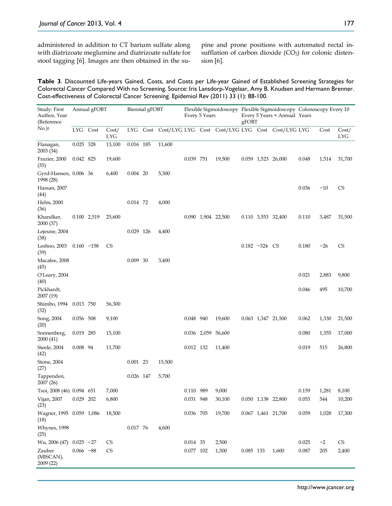administered in addition to CT barium sulfate along with diatrizoate meglumine and diatrizoate sulfate for stool tagging [6]. Images are then obtained in the supine and prone positions with automated rectal insufflation of carbon dioxide  $(CO<sub>2</sub>)$  for colonic distension [6].

**Table 3**. Discounted Life-years Gained, Costs, and Costs per Life-year Gained of Established Screening Strategies for Colorectal Cancer Compared With no Screening. Source: Iris Lansdorp-Vogelaar, Amy B. Knudsen and Hermann Brenner. Cost-effectiveness of Colorectal Cancer Screening. Epidemiol Rev (2011) 33 (1): 88-100.

| Study: First<br>Author, Year<br>(Reference |               | Annual gFOBT |                     |            | Biennial gFOBT |                                                           |           | Every 5 Years   |                    | gFOBT       |                         | Flexible Sigmoidoscopy Flexible Sigmoidoscopy Colonoscopy Every 10<br>Every 5 Years + Annual Years |       |       |                        |
|--------------------------------------------|---------------|--------------|---------------------|------------|----------------|-----------------------------------------------------------|-----------|-----------------|--------------------|-------------|-------------------------|----------------------------------------------------------------------------------------------------|-------|-------|------------------------|
| No. <sub>a</sub>                           | LYG Cost      |              | Cost/<br><b>LYG</b> |            |                | LYG Cost Cost/LYG LYG Cost Cost/LYG LYG Cost Cost/LYG LYG |           |                 |                    |             |                         |                                                                                                    |       | Cost  | Cost/<br><b>LYG</b>    |
| Flanagan,<br>2003 (34)                     | 0.025 328     |              | 13,100              | 0.016 185  |                | 11,600                                                    |           |                 |                    |             |                         |                                                                                                    |       |       |                        |
| Frazier, 2000<br>(35)                      | 0.042 825     |              | 19,600              |            |                |                                                           | 0.039 751 |                 | 19,500             |             |                         | $0.059$ 1,523 26,000                                                                               | 0.048 | 1,514 | 31,700                 |
| Gyrd-Hansen, 0.006 36<br>1998 (28)         |               |              | 6,400               | 0.004 20   |                | 5,300                                                     |           |                 |                    |             |                         |                                                                                                    |       |       |                        |
| Hassan, 2007<br>(44)                       |               |              |                     |            |                |                                                           |           |                 |                    |             |                         |                                                                                                    | 0.036 | $-10$ | <b>CS</b>              |
| Helm, 2000<br>(36)                         |               |              |                     | 0.014 72   |                | 4,000                                                     |           |                 |                    |             |                         |                                                                                                    |       |       |                        |
| Khandker,<br>2000 (37)                     |               | 0.100 2,519  | 25,600              |            |                |                                                           |           |                 | 0.090 1,904 22,500 |             |                         | 0.110 3,553 32,400                                                                                 | 0.110 | 3,487 | 31,500                 |
| Lejeune, 2004<br>(38)                      |               |              |                     | 0.029 126  |                | 4,400                                                     |           |                 |                    |             |                         |                                                                                                    |       |       |                        |
| Leshno, 2003<br>(39)                       | $0.160 - 158$ |              | CS                  |            |                |                                                           |           |                 |                    |             | $0.182 -324 \text{ CS}$ |                                                                                                    | 0.180 | $-26$ | <b>CS</b>              |
| Macafee, 2008<br>(45)                      |               |              |                     | $0.009$ 30 |                | 3,400                                                     |           |                 |                    |             |                         |                                                                                                    |       |       |                        |
| O'Leary, 2004<br>(40)                      |               |              |                     |            |                |                                                           |           |                 |                    |             |                         |                                                                                                    | 0.021 | 2,883 | 9,800                  |
| Pickhardt,<br>2007 (19)                    |               |              |                     |            |                |                                                           |           |                 |                    |             |                         |                                                                                                    | 0.046 | 495   | 10,700                 |
| Shimbo, 1994<br>(32)                       | 0.013 750     |              | 56,300              |            |                |                                                           |           |                 |                    |             |                         |                                                                                                    |       |       |                        |
| Song, 2004<br>(20)                         | 0.056 508     |              | 9,100               |            |                |                                                           | 0.048 940 |                 | 19,600             |             |                         | 0.063 1,347 21,500                                                                                 | 0.062 | 1,330 | 21,500                 |
| Sonnenberg,<br>2000(41)                    | 0.019 285     |              | 15,100              |            |                |                                                           |           |                 | 0.036 2,059 56,600 |             |                         |                                                                                                    | 0.080 | 1,355 | 17,000                 |
| Steele, 2004<br>(42)                       | 0.008 94      |              | 11,700              |            |                |                                                           | 0.012 132 |                 | 11,400             |             |                         |                                                                                                    | 0.019 | 515   | 26,800                 |
| Stone, 2004<br>(27)                        |               |              |                     | 0.001 23   |                | 15,500                                                    |           |                 |                    |             |                         |                                                                                                    |       |       |                        |
| Tappenden,<br>2007(26)                     |               |              |                     | 0.026 147  |                | 5,700                                                     |           |                 |                    |             |                         |                                                                                                    |       |       |                        |
| Tsoi, 2008 (46) 0.094 651                  |               |              | 7,000               |            |                |                                                           |           | 0.110 989 9,000 |                    |             |                         |                                                                                                    | 0.159 | 1,281 | 8,100                  |
| Vijan, 2007<br>(23)                        | 0.029 202     |              | 6,800               |            |                |                                                           | 0.031 948 |                 | 30,100             |             |                         | 0.050 1,138 22,800                                                                                 | 0.053 | 544   | 10,200                 |
| Wagner, 1995 0.059 1,086<br>(18)           |               |              | 18,500              |            |                |                                                           | 0.036 705 |                 | 19,700             |             |                         | 0.067 1,461 21,700                                                                                 | 0.059 | 1,028 | 17,300                 |
| Whynes, 1998<br>(25)                       |               |              |                     | 0.017 76   |                | 4,600                                                     |           |                 |                    |             |                         |                                                                                                    |       |       |                        |
| Wu, 2006 (47)                              | $0.025 -27$   |              | CS                  |            |                |                                                           | 0.014 35  |                 | 2,500              |             |                         |                                                                                                    | 0.025 | $-2$  | $\mathbb{C}\mathbb{S}$ |
| Zauber<br>(MISCAN),<br>2009 (22)           | $0.066 - 88$  |              | CS                  |            |                |                                                           | 0.077 102 |                 | 1,300              | $0.085$ 133 |                         | 1,600                                                                                              | 0.087 | 205   | 2,400                  |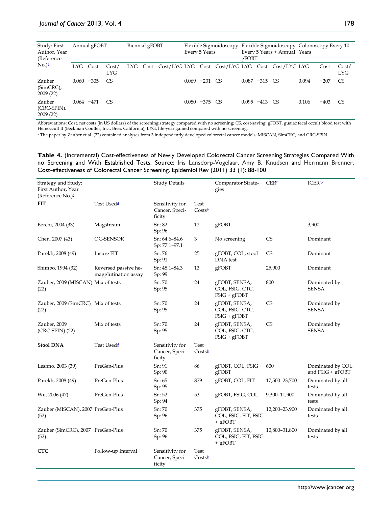| Study: First<br>Author, Year<br>(Reference |          | Annual gFOBT |              | Biennial gFOBT |  |       | Every 5 Years |      | gFOBT |                 | Flexible Sigmoidoscopy Flexible Sigmoidoscopy Colonoscopy Every 10<br>Every 5 Years + Annual Years |       |        |                     |
|--------------------------------------------|----------|--------------|--------------|----------------|--|-------|---------------|------|-------|-----------------|----------------------------------------------------------------------------------------------------|-------|--------|---------------------|
| No. <sup>a</sup>                           | LYG Cost |              | Cost/<br>LYG |                |  |       |               |      |       |                 | LYG Cost Cost/LYG LYG Cost Cost/LYG LYG Cost Cost/LYG LYG                                          |       | Cost   | Cost/<br><b>LYG</b> |
| Zauber<br>$(SimCRC)$ ,<br>2009(22)         | 0.060    | $-305$       | CS.          |                |  | 0.069 | $-231$        | CS   | 0.087 | $-315$ CS       |                                                                                                    | 0.094 | $-207$ | <b>CS</b>           |
| Zauber<br>(CRC-SPIN),<br>2009(22)          | 0.064    | $-471$       | CS.          |                |  | 0.080 | $-375$        | - CS |       | $0.095 -413$ CS |                                                                                                    | 0.106 | $-403$ | CS                  |

Abbreviations: Cost, net costs (in US dollars) of the screening strategy compared with no screening; CS, cost-saving; gFOBT, guaiac fecal occult blood test with Hemoccult II (Beckman Coulter, Inc., Brea, California); LYG, life-year gained compared with no screening.

<sup>a</sup> The paper by Zauber et al. (22) contained analyses from 3 independently developed colorectal cancer models: MISCAN, SimCRC, and CRC-SPIN.

**Table 4.** (Incremental) Cost-effectiveness of Newly Developed Colorectal Cancer Screening Strategies Compared With no Screening and With Established Tests. Source: Iris Lansdorp-Vogelaar, Amy B. Knudsen and Hermann Brenner. Cost-effectiveness of Colorectal Cancer Screening. Epidemiol Rev (2011) 33 (1): 88-100

| Strategy and Study:<br>First Author, Year<br>(Reference No.) <sup>a</sup> |                                              | <b>Study Details</b>                        |                   | Comparator Strate-<br>gies                         | <b>CER</b> <sup>b</sup> | <b>ICERbs</b>                        |
|---------------------------------------------------------------------------|----------------------------------------------|---------------------------------------------|-------------------|----------------------------------------------------|-------------------------|--------------------------------------|
| <b>FIT</b>                                                                | Test Used <sup>d</sup>                       | Sensitivity for<br>Cancer, Speci-<br>ficity | Test<br>Costsb    |                                                    |                         |                                      |
| Berchi, 2004 (33)                                                         | Magstream                                    | Sn: 82<br>Sp: 96                            | 12                | gFOBT                                              |                         | 3,900                                |
| Chen, 2007 (43)                                                           | OC-SENSOR                                    | Sn: 64.6-84.6<br>Sp: 77.1-97.1              | 3                 | No screening                                       | <b>CS</b>               | Dominant                             |
| Parekh, 2008 (49)                                                         | Insure FIT                                   | Sn: 76<br>Sp: 91                            | 25                | gFOBT, COL, stool<br><b>DNA</b> test               | <b>CS</b>               | Dominant                             |
| Shimbo, 1994 (32)                                                         | Reversed passive he-<br>magglutination assay | Sn: 48.1-84.3<br>Sp: 99                     | 13                | gFOBT                                              | 25,900                  | Dominant                             |
| Zauber, 2009 (MISCAN) Mix of tests<br>(22)                                |                                              | Sn: 70<br>Sp: 95                            | $24\,$            | gFOBT, SENSA,<br>COL, FSIG, CTC,<br>FSIG + gFOBT   | 800                     | Dominated by<br><b>SENSA</b>         |
| Zauber, 2009 (SimCRC) Mix of tests<br>(22)                                |                                              | Sn: 70<br>Sp: 95                            | 24                | gFOBT, SENSA,<br>COL, FSIG, CTC,<br>FSIG + gFOBT   | <b>CS</b>               | Dominated by<br><b>SENSA</b>         |
| Zauber, 2009<br>$(CRC-SPIN)$ $(22)$                                       | Mix of tests                                 | Sn: 70<br>Sp: 95                            | 24                | gFOBT, SENSA,<br>COL, FSIG, CTC,<br>$FSIG + gFOBT$ | <b>CS</b>               | Dominated by<br><b>SENSA</b>         |
| <b>Stool DNA</b>                                                          | Test Used <sup>d</sup>                       | Sensitivity for<br>Cancer, Speci-<br>ficity | Test<br>Costs     |                                                    |                         |                                      |
| Leshno, 2003 (39)                                                         | PreGen-Plus                                  | Sn: 91<br>Sp: 90                            | 86                | gFOBT, COL, FSIG + 600<br>gFOBT                    |                         | Dominated by COL<br>and FSIG + gFOBT |
| Parekh, 2008 (49)                                                         | PreGen-Plus                                  | Sn: 65<br>Sp: 95                            | 879               | gFOBT, COL, FIT                                    | 17,500-23,700           | Dominated by all<br>tests            |
| Wu, 2006 (47)                                                             | PreGen-Plus                                  | Sn: 52<br>Sp: 94                            | 53                | gFOBT, FSIG, COL                                   | 9,300-11,900            | Dominated by all<br>tests            |
| Zauber (MISCAN), 2007 PreGen-Plus<br>(52)                                 |                                              | Sn: 70<br>Sp: 96                            | 375               | gFOBT, SENSA,<br>COL, FSIG, FIT, FSIG<br>+ gFOBT   | 12,200-23,900           | Dominated by all<br>tests            |
| Zauber (SimCRC), 2007 PreGen-Plus<br>(52)                                 |                                              | Sn: 70<br>Sp: 96                            | 375               | gFOBT, SENSA,<br>COL, FSIG, FIT, FSIG<br>$+$ gFOBT | 10,800-31,800           | Dominated by all<br>tests            |
| <b>CTC</b>                                                                | Follow-up Interval                           | Sensitivity for<br>Cancer, Speci-<br>ficity | Test<br>$Costs^b$ |                                                    |                         |                                      |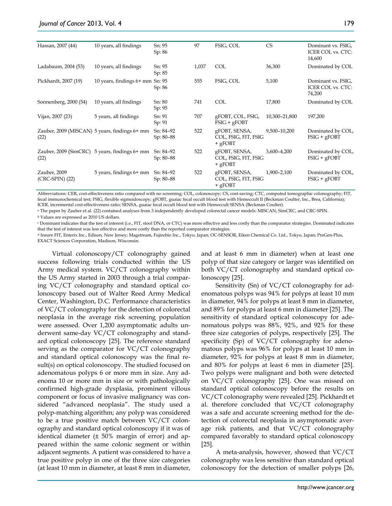| Hassan, 2007 (44)                   | 10 years, all findings                            | Sn: 95<br>Sp: 86         | 97    | FSIG, COL                                          | <b>CS</b>     | Dominant vs. FSIG,<br>ICER COL vs. CTC:<br>14,600 |
|-------------------------------------|---------------------------------------------------|--------------------------|-------|----------------------------------------------------|---------------|---------------------------------------------------|
| Ladabaum, 2004 (53)                 | 10 years, all findings                            | Sn: 95<br>Sp: 85         | 1,037 | <b>COL</b>                                         | 36,300        | Dominated by COL                                  |
| Pickhardt, 2007 (19)                | 10 years, findings 6+ mm Sn: 95                   | Sp: 86                   | 555   | FSIG, COL                                          | 5,100         | Dominant vs. FSIG,<br>ICER COL vs. CTC:<br>74,200 |
| Sonnenberg, 2000 (54)               | 10 years, all findings                            | Sn: 80<br>Sp: 95         | 741   | <b>COL</b>                                         | 17,800        | Dominated by COL                                  |
| Vijan, 2007 (23)                    | 5 years, all findings                             | Sn: 91<br>Sp: 91         | 707   | gFOBT, COL, FSIG,<br>$FSIG + gFOBT$                | 10,300-21,800 | 197,200                                           |
| (22)                                | Zauber, 2009 (MISCAN) 5 years, findings 6+ mm     | Sn: 84-92<br>Sp: 80-88   | 522   | gFOBT, SENSA,<br>COL, FSIG, FIT, FSIG<br>$+$ gFOBT | 9,500-10,200  | Dominated by COL,<br>$FSIG + gFOBT$               |
| (22)                                | Zauber, $2009$ (SimCRC) 5 years, findings $6+$ mm | $Sn: 84-92$<br>Sp: 80-88 | 522   | gFOBT, SENSA,<br>COL, FSIG, FIT, FSIG<br>$+$ gFOBT | 3,600-4,200   | Dominated by COL,<br>$FSIG + gFOBT$               |
| Zauber, 2009<br>$(CRC-SPIN)$ $(22)$ | 5 years, findings 6+ mm                           | Sn: 84-92<br>Sp: 80-88   | 522   | gFOBT, SENSA,<br>COL, FSIG, FIT, FSIG<br>$+$ gFOBT | 1,900-2,100   | Dominated by COL,<br>$FSIG + gFOBT$               |

Abbreviations: CER, cost-effectiveness ratio compared with no screening; COL, colonoscopy; CS, cost-saving; CTC, computed tomographic colonography; FIT, fecal immunochemical test; FSIG, flexible sigmoidoscopy; gFOBT, guaiac fecal occult blood test with Hemoccult II (Beckman Coulter, Inc., Brea, California); ICER, incremental cost-effectiveness ratio; SENSA, guaiac fecal occult blood test with Hemoccult SENSA (Beckman Coulter).

<sup>a</sup> The paper by Zauber et al. (22) contained analyses from 3 independently developed colorectal cancer models: MISCAN, SimCRC, and CRC-SPIN.

<sup>b</sup> Values are expressed as 2010 US dollars.

<sup>c</sup> Dominant indicates that the test of interest (i.e., FIT, stool DNA, or CTC) was more effective and less costly than the comparator strategies. Dominated indicates that the test of interest was less effective and more costly than the reported comparator strategies.

<sup>d</sup> Insure FIT, Enterix Inc., Edison, New Jersey; Magstream, Fujirebio Inc., Tokyo, Japan; OC-SENSOR, Eiken Chemical Co. Ltd., Tokyo, Japan; PreGen-Plus, EXACT Sciences Corporation, Madison, Wisconsin.

Virtual colonoscopy/CT colonography gained success following trials conducted within the US Army medical system. VC/CT colonography within the US Army started in 2003 through a trial comparing VC/CT colonography and standard optical colonoscopy based out of Walter Reed Army Medical Center, Washington, D.C. Performance characteristics of VC/CT colonography for the detection of colorectal neoplasia in the average risk screening population were assessed. Over 1,200 asymptomatic adults underwent same-day VC/CT colonography and standard optical colonoscopy [25]. The reference standard serving as the comparator for VC/CT colonography and standard optical colonoscopy was the final result(s) on optical colonoscopy. The studied focused on adenomatous polyps 6 or more mm in size. Any adenoma 10 or more mm in size or with pathologically confirmed high-grade dysplasia, prominent villous component or focus of invasive malignancy was considered "advanced neoplasia". The study used a polyp-matching algorithm; any polyp was considered to be a true positive match between VC/CT colonography and standard optical colonoscopy if it was of identical diameter (± 50% margin of error) and appeared within the same colonic segment or within adjacent segments. A patient was considered to have a true positive polyp in one of the three size categories (at least 10 mm in diameter, at least 8 mm in diameter,

and at least 6 mm in diameter) when at least one polyp of that size category or larger was identified on both VC/CT colonography and standard optical colonoscopy [25].

Sensitivity (Sn) of VC/CT colonography for adenomatous polyps was 94% for polyps at least 10 mm in diameter, 94% for polyps at least 8 mm in diameter, and 89% for polyps at least 6 mm in diameter [25]. The sensitivity of standard optical colonoscopy for adenomatous polyps was 88%, 92%, and 92% for these three size categories of polyps, respectively [25]. The specificity (Sp) of VC/CT colonography for adenomatous polyps was 96% for polyps at least 10 mm in diameter, 92% for polyps at least 8 mm in diameter, and 80% for polyps at least 6 mm in diameter [25]. Two polyps were malignant and both were detected on VC/CT colonography [25]. One was missed on standard optical colonoscopy before the results on VC/CT colonography were revealed [25]. Pickhardt et al. therefore concluded that VC/CT colonography was a safe and accurate screening method for the detection of colorectal neoplasia in asymptomatic average risk patients, and that VC/CT colonography compared favorably to standard optical colonoscopy [25].

A meta-analysis, however, showed that VC/CT colonography was less sensitive than standard optical colonoscopy for the detection of smaller polyps [26,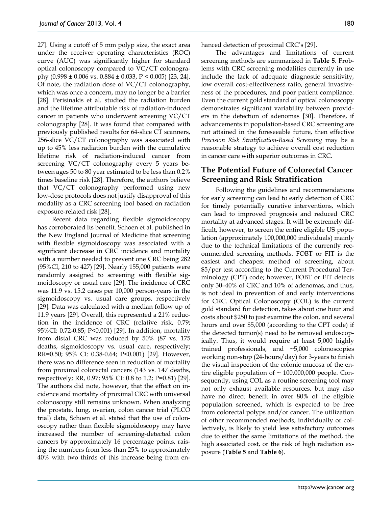27]. Using a cutoff of 5 mm polyp size, the exact area under the receiver operating characteristics (ROC) curve (AUC) was significantly higher for standard optical colonoscopy compared to VC/CT colonography  $(0.998 \pm 0.006 \text{ vs. } 0.884 \pm 0.033, P \le 0.005)$  [23, 24]. Of note, the radiation dose of VC/CT colonography, which was once a concern, may no longer be a barrier [28]. Perisinakis et al. studied the radiation burden and the lifetime attributable risk of radiation-induced cancer in patients who underwent screening VC/CT colonography [28]. It was found that compared with previously published results for 64-slice CT scanners, 256-slice VC/CT colonography was associated with up to 45% less radiation burden with the cumulative lifetime risk of radiation-induced cancer from screening VC/CT colonography every 5 years between ages 50 to 80 year estimated to be less than 0.2% times baseline risk [28]. Therefore, the authors believe that VC/CT colonography performed using new low-dose protocols does not justify disapproval of this modality as a CRC screening tool based on radiation exposure-related risk [28].

Recent data regarding flexible sigmoidoscopy has corroborated its benefit. Schoen et al. published in the New England Journal of Medicine that screening with flexible sigmoidoscopy was associated with a significant decrease in CRC incidence and mortality with a number needed to prevent one CRC being 282 (95%CI, 210 to 427) [29]. Nearly 155,000 patients were randomly assigned to screening with flexible sigmoidoscopy or usual care [29]. The incidence of CRC was 11.9 vs. 15.2 cases per 10,000 person-years in the sigmoidoscopy vs. usual care groups, respectively [29]. Data was calculated with a median follow up of 11.9 years [29]. Overall, this represented a 21% reduction in the incidence of CRC (relative risk, 0.79; 95%CI: 0.72-0.85; P<0.001) [29]. In addition, mortality from distal CRC was reduced by 50% (87 vs. 175 deaths, sigmoidoscopy vs. usual care, respectively; RR=0.50; 95% CI: 0.38-0.64; P<0.001) [29]. However, there was no difference seen in reduction of mortality from proximal colorectal cancers (143 vs. 147 deaths, respectively; RR, 0.97; 95% CI: 0.8 to 1.2; P=0.81) [29]. The authors did note, however, that the effect on incidence and mortality of proximal CRC with universal colonoscopy still remains unknown. When analyzing the prostate, lung, ovarian, colon cancer trial (PLCO trial) data, Schoen et al. stated that the use of colonoscopy rather than flexible sigmoidoscopy may have increased the number of screening-detected colon cancers by approximately 16 percentage points, raising the numbers from less than 25% to approximately 40% with two thirds of this increase being from enhanced detection of proximal CRC's [29].

The advantages and limitations of current screening methods are summarized in **Table 5**. Problems with CRC screening modalities currently in use include the lack of adequate diagnostic sensitivity, low overall cost-effectiveness ratio, general invasiveness of the procedures, and poor patient compliance. Even the current gold standard of optical colonoscopy demonstrates significant variability between providers in the detection of adenomas [30]. Therefore, if advancements in population-based CRC screening are not attained in the foreseeable future, then effective *Precision Risk Stratification-Based Screening* may be a reasonable strategy to achieve overall cost reduction in cancer care with superior outcomes in CRC.

# **The Potential Future of Colorectal Cancer Screening and Risk Stratification**

Following the guidelines and recommendations for early screening can lead to early detection of CRC for timely potentially curative interventions, which can lead to improved prognosis and reduced CRC mortality at advanced stages. It will be extremely difficult, however, to screen the entire eligible US population (approximately 100,000,000 individuals) mainly due to the technical limitations of the currently recommended screening methods. FOBT or FIT is the easiest and cheapest method of screening, about \$5/per test according to the Current Procedural Terminology (CPT) code; however, FOBT or FIT detects only 30–40% of CRC and 10% of adenomas, and thus, is not ideal in prevention of and early interventions for CRC. Optical Colonoscopy (COL) is the current gold standard for detection, takes about one hour and costs about \$250 to just examine the colon, and several hours and over \$5,000 (according to the CPT code) if the detected tumor(s) need to be removed endoscopically. Thus, it would require at least 5,000 highly trained professionals, and ~5,000 colonoscopies working non-stop (24-hours/day) for 3-years to finish the visual inspection of the colonic mucosa of the entire eligible population of  $\sim$  100,000,000 people. Consequently, using COL as a routine screening tool may not only exhaust available resources, but may also have no direct benefit in over 80% of the eligible population screened, which is expected to be free from colorectal polyps and/or cancer. The utilization of other recommended methods, individually or collectively, is likely to yield less satisfactory outcomes due to either the same limitations of the method, the high associated cost, or the risk of high radiation exposure (**Table 5** and **Table 6**).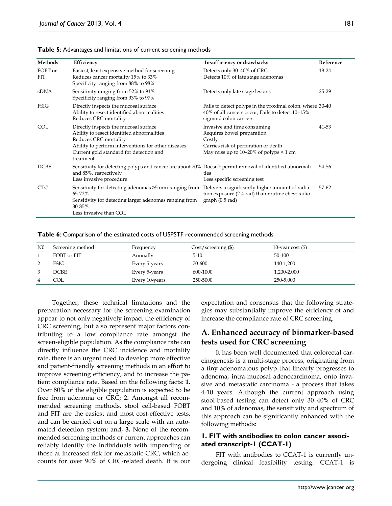| Methods               | Efficiency                                                                                                                                                                                                                  | Insufficiency or drawbacks                                                                                                                                    | Reference |
|-----------------------|-----------------------------------------------------------------------------------------------------------------------------------------------------------------------------------------------------------------------------|---------------------------------------------------------------------------------------------------------------------------------------------------------------|-----------|
| FOBT or<br><b>FIT</b> | Easiest, least expensive method for screening<br>Reduces cancer mortality 15% to 33%<br>Specificity ranging from 88% to 98%                                                                                                 | Detects only 30-40% of CRC<br>Detects 10% of late stage adenomas                                                                                              | 18-24     |
| sDNA                  | Sensitivity ranging from 52% to 91%<br>Specificity ranging from 93% to 97%                                                                                                                                                  | Detects only late stage lesions                                                                                                                               | 25-29     |
| <b>FSIG</b>           | Directly inspects the mucosal surface<br>Ability to resect identified abnormalities<br>Reduces CRC mortality                                                                                                                | Fails to detect polyps in the proximal colon, where 30-40<br>40% of all cancers occur, Fails to detect 10-15%<br>sigmoid colon cancers                        |           |
| <b>COL</b>            | Directly inspects the mucosal surface<br>Ability to resect identified abnormalities<br>Reduces CRC mortality<br>Ability to perform interventions for other diseases<br>Current gold standard for detection and<br>treatment | Invasive and time consuming<br>Requires bowel preparation<br>Costly<br>Carries risk of perforation or death<br>May miss up to $10-20\%$ of polyps $\leq 1$ cm | 41-53     |
| <b>DCBE</b>           | Sensitivity for detecting polyps and cancer are about 70% Doesn't permit removal of identified abnormali-<br>and 85%, respectively<br>Less invasive procedure                                                               | ties<br>Less specific screening test                                                                                                                          | 54-56     |
| <b>CTC</b>            | Sensitivity for detecting adenomas $\geq$ 5 mm ranging from Delivers a significantly higher amount of radia-<br>65-72%<br>Sensitivity for detecting larger adenomas ranging from<br>80-85%<br>Less invasive than COL        | tion exposure (2-4 rad) than routine chest radio-<br>graph(0.5 rad)                                                                                           | 57-62     |

**Table 5**: Advantages and limitations of current screening methods

**Table 6**: Comparison of the estimated costs of USPSTF recommended screening methods

| N <sub>0</sub> | Screening method | Frequency      | Cost/screening (\$) | 10-year cost $(\$)$ |
|----------------|------------------|----------------|---------------------|---------------------|
|                | FOBT or FIT      | Annually       | $5-10$              | 50-100              |
| $\overline{2}$ | FSIG             | Every 5-years  | 70-600              | 140-1,200           |
| 3              | <b>DCBE</b>      | Every 5-years  | 600-1000            | 1,200-2,000         |
|                | COL.             | Every 10-years | 250-5000            | 250-5,000           |

Together, these technical limitations and the preparation necessary for the screening examination appear to not only negatively impact the efficiency of CRC screening, but also represent major factors contributing to a low compliance rate amongst the screen-eligible population. As the compliance rate can directly influence the CRC incidence and mortality rate, there is an urgent need to develop more effective and patient-friendly screening methods in an effort to improve screening efficiency, and to increase the patient compliance rate. Based on the following facts: **1.** Over 80% of the eligible population is expected to be free from adenoma or CRC; **2.** Amongst all recommended screening methods, stool cell-based FOBT and FIT are the easiest and most cost-effective tests, and can be carried out on a large scale with an automated detection system; and, **3.** None of the recommended screening methods or current approaches can reliably identify the individuals with impending or those at increased risk for metastatic CRC, which accounts for over 90% of CRC-related death. It is our

expectation and consensus that the following strategies may substantially improve the efficiency of and increase the compliance rate of CRC screening.

# **A. Enhanced accuracy of biomarker-based tests used for CRC screening**

It has been well documented that colorectal carcinogenesis is a multi-stage process, originating from a tiny adenomatous polyp that linearly progresses to adenoma, intra-mucosal adenocarcinoma, onto invasive and metastatic carcinoma - a process that takes 4-10 years. Although the current approach using stool-based testing can detect only 30–40% of CRC and 10% of adenomas, the sensitivity and spectrum of this approach can be significantly enhanced with the following methods:

# **1. FIT with antibodies to colon cancer associated transcript-1 (CCAT-1)**

FIT with antibodies to CCAT-1 is currently undergoing clinical feasibility testing. CCAT-1 is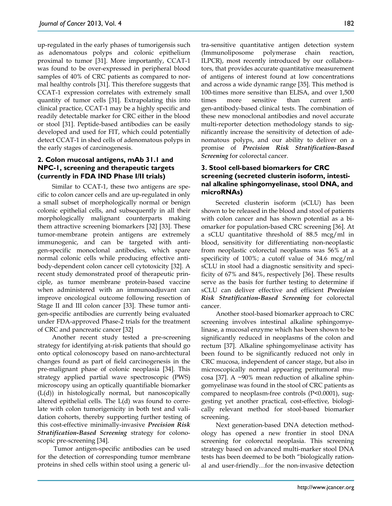up-regulated in the early phases of tumorigensis such as adenomatous polyps and colonic epithelium proximal to tumor [31]. More importantly, CCAT-1 was found to be over-expressed in peripheral blood samples of 40% of CRC patients as compared to normal healthy controls [31]. This therefore suggests that CCAT-1 expression correlates with extremely small quantity of tumor cells [31]. Extrapolating this into clinical practice, CCAT-1 may be a highly specific and readily detectable marker for CRC either in the blood or stool [31]. Peptide-based antibodies can be easily developed and used for FIT, which could potentially detect CCAT-1 in shed cells of adenomatous polyps in the early stages of carcinogenesis.

# **2. Colon mucosal antigens, mAb 31.1 and NPC-1, screening and therapeutic targets (currently in FDA IND Phase I/II trials)**

Similar to CCAT-1, these two antigens are specific to colon cancer cells and are up-regulated in only a small subset of morphologically normal or benign colonic epithelial cells, and subsequently in all their morphologically malignant counterparts making them attractive screening biomarkers [32] [33]. These tumor-membrane protein antigens are extremely immunogenic, and can be targeted with antigen-specific monoclonal antibodies, which spare normal colonic cells while producing effective antibody-dependent colon cancer cell cytotoxicity [32]. A recent study demonstrated proof of therapeutic principle, as tumor membrane protein-based vaccine when administered with an immunoadjuvant can improve oncological outcome following resection of Stage II and III colon cancer [33]. These tumor antigen-specific antibodies are currently being evaluated under FDA-approved Phase-2 trials for the treatment of CRC and pancreatic cancer [32]

Another recent study tested a pre-screening strategy for identifying at-risk patients that should go onto optical colonoscopy based on nano-archtectural changes found as part of field carcinogenesis in the pre-malignant phase of colonic neoplasia [34]. This strategy applied partial wave spectroscopic (PWS) microscopy using an optically quantifiable biomarker (L(d)) in histologically normal, but nanoscopically altered epithelial cells. The  $L(d)$  was found to correlate with colon tumorigenicity in both test and validation cohorts, thereby supporting further testing of this cost-effective minimally-invasive *Precision Risk Stratification-Based Screening* strategy for colonoscopic pre-screening [34].

Tumor antigen-specific antibodies can be used for the detection of corresponding tumor membrane proteins in shed cells within stool using a generic ultra-sensitive quantitative antigen detection system (Immunoliposome polymerase chain reaction, ILPCR), most recently introduced by our collaborators, that provides accurate quantitative measurement of antigens of interest found at low concentrations and across a wide dynamic range [35]. This method is 100-times more sensitive than ELISA, and over 1,500 times more sensitive than current antigen-antibody-based clinical tests. The combination of these new monoclonal antibodies and novel accurate multi-reporter detection methodology stands to significantly increase the sensitivity of detection of adenomatous polyps, and our ability to deliver on a promise of *Precision Risk Stratification-Based Screening* for colorectal cancer.

# **3. Stool cell-based biomarkers for CRC screening (secreted clusterin isoform, intestinal alkaline sphingomyelinase, stool DNA, and microRNAs)**

Secreted clusterin isoform (sCLU) has been shown to be released in the blood and stool of patients with colon cancer and has shown potential as a biomarker for population-based CRC screening [36]. At a sCLU quantitative threshold of 88.5 mcg/ml in blood, sensitivity for differentiating non-neoplastic from neoplastic colorectal neoplasms was 56% at a specificity of 100%; a cutoff value of 34.6 mcg/ml sCLU in stool had a diagnostic sensitivity and specificity of 67% and 84%, respectively [36]. These results serve as the basis for further testing to determine if sCLU can deliver effective and efficient *Precision Risk Stratification-Based Screening* for colorectal cancer.

Another stool-based biomarker approach to CRC screening involves intestinal alkaline sphingomyelinase, a mucosal enzyme which has been shown to be significantly reduced in neoplasms of the colon and rectum [37]. Alkaline sphingomyelinase activity has been found to be significantly reduced not only in CRC mucosa, independent of cancer stage, but also in microscopically normal appearing peritumoral mucosa [37]. A ~90% mean reduction of alkaline sphingomyelinase was found in the stool of CRC patients as compared to neoplasm-free controls (P<0.0001), suggesting yet another practical, cost-effective, biologically relevant method for stool-based biomarker screening.

Next generation-based DNA detection methodology has opened a new frontier in stool DNA screening for colorectal neoplasia. This screening strategy based on advanced multi-marker stool DNA tests has been deemed to be both "biologically rational and user-friendly…for the non-invasive detection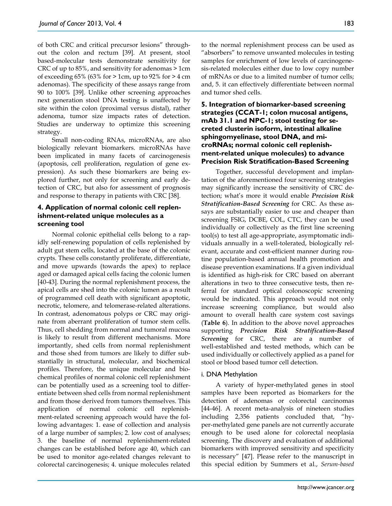of both CRC and critical precursor lesions" throughout the colon and rectum [39]. At present, stool based-molecular tests demonstrate sensitivity for CRC of up to 85%, and sensitivity for adenomas > 1cm of exceeding 65% (63% for > 1cm, up to 92% for > 4 cm adenomas). The specificity of these assays range from 90 to 100% [39]. Unlike other screening approaches next generation stool DNA testing is unaffected by site within the colon (proximal versus distal), rather adenoma, tumor size impacts rates of detection. Studies are underway to optimize this screening strategy.

Small non-coding RNAs, microRNAs, are also biologically relevant biomarkers. microRNAs have been implicated in many facets of carcinogenesis (apoptosis, cell proliferation, regulation of gene expression). As such these biomarkers are being explored further, not only for screening and early detection of CRC, but also for assessment of prognosis and response to therapy in patients with CRC [38].

#### **4. Application of normal colonic cell replenishment-related unique molecules as a screening tool**

Normal colonic epithelial cells belong to a rapidly self-renewing population of cells replenished by adult gut stem cells, located at the base of the colonic crypts. These cells constantly proliferate, differentiate, and move upwards (towards the apex) to replace aged or damaged apical cells facing the colonic lumen [40-43]. During the normal replenishment process, the apical cells are shed into the colonic lumen as a result of programmed cell death with significant apoptotic, necrotic, telomere, and telomerase-related alterations. In contrast, adenomatous polyps or CRC may originate from aberrant proliferation of tumor stem cells. Thus, cell shedding from normal and tumoral mucosa is likely to result from different mechanisms. More importantly, shed cells from normal replenishment and those shed from tumors are likely to differ substantially in structural, molecular, and biochemical profiles. Therefore, the unique molecular and biochemical profiles of normal colonic cell replenishment can be potentially used as a screening tool to differentiate between shed cells from normal replenishment and from those derived from tumors themselves. This application of normal colonic cell replenishment-related screening approach would have the following advantages: 1. ease of collection and analysis of a large number of samples; 2. low cost of analyses; 3. the baseline of normal replenishment-related changes can be established before age 40, which can be used to monitor age-related changes relevant to colorectal carcinogenesis; 4. unique molecules related

to the normal replenishment process can be used as "absorbers" to remove unwanted molecules in testing samples for enrichment of low levels of carcinogenesis-related molecules either due to low copy number of mRNAs or due to a limited number of tumor cells; and, 5. it can effectively differentiate between normal and tumor shed cells.

## **5. Integration of biomarker-based screening strategies (CCAT-1; colon mucosal antigens, mAb 31.1 and NPC-1; stool testing for secreted clusterin isoform, intestinal alkaline sphingomyelinase, stool DNA, and microRNAs; normal colonic cell replenishment-related unique molecules) to advance Precision Risk Stratification-Based Screening**

Together, successful development and implantation of the aforementioned four screening strategies may significantly increase the sensitivity of CRC detection; what's more it would enable *Precision Risk Stratification-Based Screening* for CRC. As these assays are substantially easier to use and cheaper than screening FSIG, DCBE, COL, CTC, they can be used individually or collectively as the first line screening tool(s) to test all age-appropriate, asymptomatic individuals annually in a well-tolerated, biologically relevant, accurate and cost-efficient manner during routine population-based annual health promotion and disease prevention examinations. If a given individual is identified as high-risk for CRC based on aberrant alterations in two to three consecutive tests, then referral for standard optical colonoscopic screening would be indicated. This approach would not only increase screening compliance, but would also amount to overall health care system cost savings (**Table 6**). In addition to the above novel approaches supporting *Precision Risk Stratification-Based Screening* for CRC, there are a number of well-established and tested methods, which can be used individually or collectively applied as a panel for stool or blood based tumor cell detection.

#### i. DNA Methylation

A variety of hyper-methylated genes in stool samples have been reported as biomarkers for the detection of adenomas or colorectal carcinomas [44-46]. A recent meta-analysis of nineteen studies including 2,356 patients concluded that, "hyper-methylated gene panels are not currently accurate enough to be used alone for colorectal neoplasia screening. The discovery and evaluation of additional biomarkers with improved sensitivity and specificity is necessary" [47]. Please refer to the manuscript in this special edition by Summers et al., *Serum-based*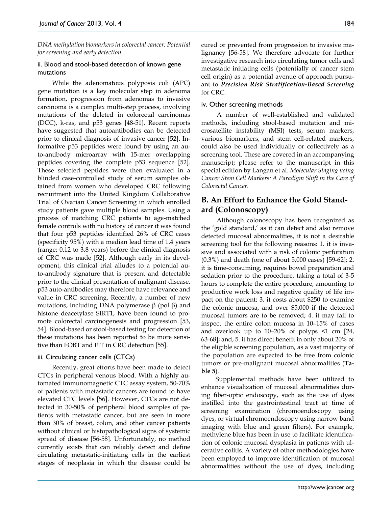*DNA methylation biomarkers in colorectal cancer: Potential for screening and early detection*.

#### ii. Blood and stool-based detection of known gene mutations

While the adenomatous polyposis coli (APC) gene mutation is a key molecular step in adenoma formation, progression from adenomas to invasive carcinoma is a complex multi-step process, involving mutations of the deleted in colorectal carcinomas (DCC), k-ras, and p53 genes [48-51]. Recent reports have suggested that autoantibodies can be detected prior to clinical diagnosis of invasive cancer [52]. Informative p53 peptides were found by using an auto-antibody microarray with 15-mer overlapping peptides covering the complete p53 sequence [52]. These selected peptides were then evaluated in a blinded case-controlled study of serum samples obtained from women who developed CRC following recruitment into the United Kingdom Collaborative Trial of Ovarian Cancer Screening in which enrolled study patients gave multiple blood samples. Using a process of matching CRC patients to age-matched female controls with no history of cancer it was found that four p53 peptides identified 26% of CRC cases (specificity 95%) with a median lead time of 1.4 years (range: 0.12 to 3.8 years) before the clinical diagnosis of CRC was made [52]. Although early in its development, this clinical trial alludes to a potential auto-antibody signature that is present and detectable prior to the clinical presentation of malignant disease. p53 auto-antibodies may therefore have relevance and value in CRC screening. Recently, a number of new mutations, including DNA polymerase  $β$  (pol  $β$ ) and histone deacetylase SIRT1, have been found to promote colorectal carcinogenesis and progression [53, 54]. Blood-based or stool-based testing for detection of these mutations has been reported to be more sensitive than FOBT and FIT in CRC detection [55].

#### iii. Circulating cancer cells (CTCs)

Recently, great efforts have been made to detect CTCs in peripheral venous blood. With a highly automated immunomagnetic CTC assay system, 50-70% of patients with metastatic cancers are found to have elevated CTC levels [56]. However, CTCs are not detected in 30-50% of peripheral blood samples of patients with metastatic cancer, but are seen in more than 30% of breast, colon, and other cancer patients without clinical or histopathological signs of systemic spread of disease [56-58]. Unfortunately, no method currently exists that can reliably detect and define circulating metastatic-initiating cells in the earliest stages of neoplasia in which the disease could be cured or prevented from progression to invasive malignancy [56-58]. We therefore advocate for further investigative research into circulating tumor cells and metastatic initiating cells (potentially of cancer stem cell origin) as a potential avenue of approach pursuant to *Precision Risk Stratification-Based Screening* for CRC.

#### iv. Other screening methods

A number of well-established and validated methods, including stool-based mutation and microsatellite instability (MSI) tests, serum markers, various biomarkers, and stem cell-related markers, could also be used individually or collectively as a screening tool. These are covered in an accompanying manuscript; please refer to the manuscript in this special edition by Langan et al. *Molecular Staging using Cancer Stem Cell Markers: A Paradigm Shift in the Care of Colorectal Cancer*.

# **B. An Effort to Enhance the Gold Standard (Colonoscopy)**

Although colonoscopy has been recognized as the 'gold standard,' as it can detect and also remove detected mucosal abnormalities, it is not a desirable screening tool for the following reasons: 1. it is invasive and associated with a risk of colonic perforation (0.3%) and death (one of about 5,000 cases) [59-62]; 2. it is time-consuming, requires bowel preparation and sedation prior to the procedure, taking a total of 3-5 hours to complete the entire procedure, amounting to productive work loss and negative quality of life impact on the patient; 3. it costs about \$250 to examine the colonic mucosa, and over \$5,000 if the detected mucosal tumors are to be removed; 4. it may fail to inspect the entire colon mucosa in 10–15% of cases and overlook up to  $10-20\%$  of polyps  $\leq 1$  cm  $[24,$ 63-68]; and, 5. it has direct benefit in only about 20% of the eligible screening population, as a vast majority of the population are expected to be free from colonic tumors or pre-malignant mucosal abnormalities (**Table 5**).

Supplemental methods have been utilized to enhance visualization of mucosal abnormalities during fiber-optic endoscopy, such as the use of dyes instilled into the gastrointestinal tract at time of screening examination (chromoendoscopy using dyes, or virtual chromoendoscopy using narrow band imaging with blue and green filters). For example, methylene blue has been in use to facilitate identification of colonic mucosal dysplasia in patients with ulcerative colitis. A variety of other methodologies have been employed to improve identification of mucosal abnormalities without the use of dyes, including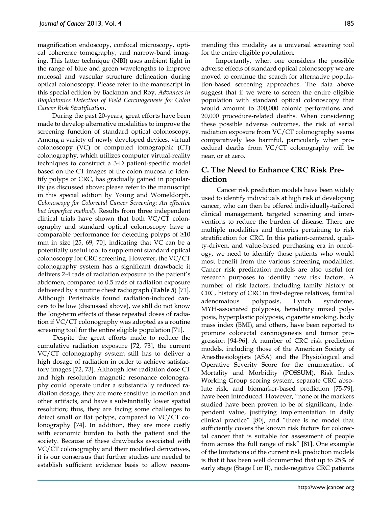magnification endoscopy, confocal microscopy, optical coherence tomography, and narrow-band imaging. This latter technique (NBI) uses ambient light in the range of blue and green wavelengths to improve mucosal and vascular structure delineation during optical colonoscopy. Please refer to the manuscript in this special edition by Backman and Roy, *Advances in Biophotonics Detection of Field Carcinogenesis for Colon Cancer Risk Stratification***.**

During the past 20-years, great efforts have been made to develop alternative modalities to improve the screening function of standard optical colonoscopy. Among a variety of newly developed devices, virtual colonoscopy (VC) or computed tomographic (CT) colonography, which utilizes computer virtual-reality techniques to construct a 3-D patient-specific model based on the CT images of the colon mucosa to identify polyps or CRC, has gradually gained in popularity (as discussed above; please refer to the manuscript in this special edition by Young and Womeldorph, *Colonoscopy for Colorectal Cancer Screening: An effective but imperfect method*). Results from three independent clinical trials have shown that both VC/CT colonography and standard optical colonoscopy have a comparable performance for detecting polyps of ≥10 mm in size [25, 69, 70], indicating that VC can be a potentially useful tool to supplement standard optical colonoscopy for CRC screening. However, the VC/CT colonography system has a significant drawback: it delivers 2-4 rads of radiation exposure to the patient's abdomen, compared to 0.5 rads of radiation exposure delivered by a routine chest radiograph (**Table 5**) [71]. Although Perisinakis found radiation-induced cancers to be low (discussed above), we still do not know the long-term effects of these repeated doses of radiation if VC/CT colonography was adopted as a routine screening tool for the entire eligible population [71].

Despite the great efforts made to reduce the cumulative radiation exposure [72, 73], the current VC/CT colonography system still has to deliver a high dosage of radiation in order to achieve satisfactory images [72, 73]. Although low-radiation dose CT and high resolution magnetic resonance colonography could operate under a substantially reduced radiation dosage, they are more sensitive to motion and other artifacts, and have a substantially lower spatial resolution; thus, they are facing some challenges to detect small or flat polyps, compared to VC/CT colonography [74]. In addition, they are more costly with economic burden to both the patient and the society. Because of these drawbacks associated with VC/CT colonography and their modified derivatives, it is our consensus that further studies are needed to establish sufficient evidence basis to allow recommending this modality as a universal screening tool for the entire eligible population.

Importantly, when one considers the possible adverse effects of standard optical colonoscopy we are moved to continue the search for alternative population-based screening approaches. The data above suggest that if we were to screen the entire eligible population with standard optical colonoscopy that would amount to 300,000 colonic perforations and 20,000 procedure-related deaths. When considering these possible adverse outcomes, the risk of serial radiation exposure from VC/CT colonography seems comparatively less harmful, particularly when procedural deaths from VC/CT colonography will be near, or at zero.

# **C. The Need to Enhance CRC Risk Prediction**

Cancer risk prediction models have been widely used to identify individuals at high risk of developing cancer, who can then be offered individually-tailored clinical management, targeted screening and interventions to reduce the burden of disease. There are multiple modalities and theories pertaining to risk stratification for CRC. In this patient-centered, quality-driven, and value-based purchasing era in oncology, we need to identify those patients who would most benefit from the various screening modalities. Cancer risk predication models are also useful for research purposes to identify new risk factors. A number of risk factors, including family history of CRC, history of CRC in first-degree relatives, familial adenomatous polyposis, Lynch syndrome, MYH-associated polyposis, hereditary mixed polyposis, hyperplastic polyposis, cigarette smoking, body mass index (BMI), and others, have been reported to promote colorectal carcinogenesis and tumor progression [94-96]. A number of CRC risk prediction models, including those of the American Society of Anesthesiologists (ASA) and the Physiological and Operative Severity Score for the enumeration of Mortality and Morbidity (POSSUM), Risk Index Working Group scoring system, separate CRC absolute risk, and biomarker-based prediction [75-79], have been introduced. However, "none of the markers studied have been proven to be of significant, independent value, justifying implementation in daily clinical practice" [80], and "there is no model that sufficiently covers the known risk factors for colorectal cancer that is suitable for assessment of people from across the full range of risk" [81]. One example of the limitations of the current risk prediction models is that it has been well documented that up to 25% of early stage (Stage I or II), node-negative CRC patients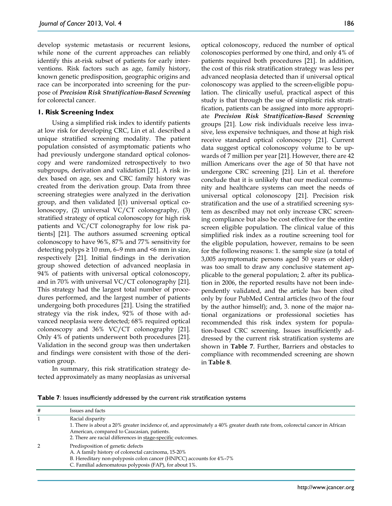develop systemic metastasis or recurrent lesions, while none of the current approaches can reliably identify this at-risk subset of patients for early interventions. Risk factors such as age, family history, known genetic predisposition, geographic origins and race can be incorporated into screening for the purpose of *Precision Risk Stratification-Based Screening* for colorectal cancer.

#### **1. Risk Screening Index**

Using a simplified risk index to identify patients at low risk for developing CRC, Lin et al. described a unique stratified screening modality. The patient population consisted of asymptomatic patients who had previously undergone standard optical colonoscopy and were randomized retrospectively to two subgroups, derivation and validation [21]. A risk index based on age, sex and CRC family history was created from the derivation group. Data from three screening strategies were analyzed in the derivation group, and then validated [(1) universal optical colonoscopy, (2) universal VC/CT colonography, (3) stratified strategy of optical colonoscopy for high risk patients and VC/CT colonography for low risk patients] [21]. The authors assumed screening optical colonoscopy to have 96%, 87% and 77% sensitivity for detecting polyps  $\geq 10$  mm, 6–9 mm and  $\leq 6$  mm in size, respectively [21]. Initial findings in the derivation group showed detection of advanced neoplasia in 94% of patients with universal optical colonoscopy, and in 70% with universal VC/CT colonography [21]. This strategy had the largest total number of procedures performed, and the largest number of patients undergoing both procedures [21]. Using the stratified strategy via the risk index, 92% of those with advanced neoplasia were detected; 68% required optical colonoscopy and 36% VC/CT colonography [21]. Only 4% of patients underwent both procedures [21]. Validation in the second group was then undertaken and findings were consistent with those of the derivation group.

In summary, this risk stratification strategy detected approximately as many neoplasias as universal optical colonoscopy, reduced the number of optical colonoscopies performed by one third, and only 4% of patients required both procedures [21]. In addition, the cost of this risk stratification strategy was less per advanced neoplasia detected than if universal optical colonoscopy was applied to the screen-eligible population. The clinically useful, practical aspect of this study is that through the use of simplistic risk stratification, patients can be assigned into more appropriate *Precision Risk Stratification-Based Screening* groups [21]. Low risk individuals receive less invasive, less expensive techniques, and those at high risk receive standard optical colonoscopy [21]. Current data suggest optical colonoscopy volume to be upwards of 7 million per year [21]. However, there are 42 million Americans over the age of 50 that have not undergone CRC screening [21]. Lin et al. therefore conclude that it is unlikely that our medical community and healthcare systems can meet the needs of universal optical colonoscopy [21]. Precision risk stratification and the use of a stratified screening system as described may not only increase CRC screening compliance but also be cost effective for the entire screen eligible population. The clinical value of this simplified risk index as a routine screening tool for the eligible population, however, remains to be seen for the following reasons: 1. the sample size (a total of 3,005 asymptomatic persons aged 50 years or older) was too small to draw any conclusive statement applicable to the general population; 2. after its publication in 2006, the reported results have not been independently validated, and the article has been cited only by four PubMed Central articles (two of the four by the author himself); and, 3. none of the major national organizations or professional societies has recommended this risk index system for population-based CRC screening. Issues insufficiently addressed by the current risk stratification systems are shown in **Table 7**. Further, Barriers and obstacles to compliance with recommended screening are shown in **Table 8**.

**Table 7**: Issues insufficiently addressed by the current risk stratification systems

| # | Issues and facts                                                                                                                                                                                                                                             |
|---|--------------------------------------------------------------------------------------------------------------------------------------------------------------------------------------------------------------------------------------------------------------|
|   | Racial disparity<br>1. There is about a 20% greater incidence of, and approximately a 40% greater death rate from, colorectal cancer in African<br>American, compared to Caucasian, patients.<br>2. There are racial differences in stage-specific outcomes. |
|   | Predisposition of genetic defects<br>A. A family history of colorectal carcinoma, 15-20%<br>B. Hereditary non-polyposis colon cancer (HNPCC) accounts for 4%-7%<br>C. Familial adenomatous polyposis (FAP), for about 1%.                                    |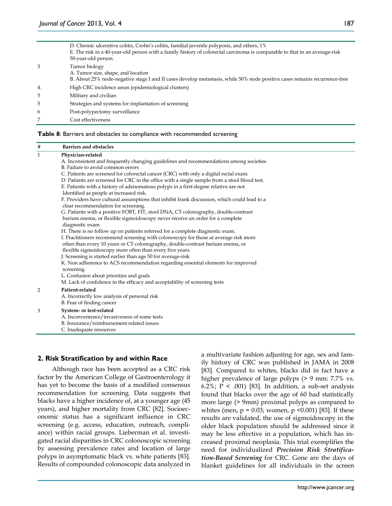|    | D. Chronic ulcerative colitis, Crohn's colitis, familial juvenile polyposis, and others, 1%<br>E. The risk in a 40-year-old person with a family history of colorectal carcinoma is comparable to that in an average-risk<br>50-year-old person. |
|----|--------------------------------------------------------------------------------------------------------------------------------------------------------------------------------------------------------------------------------------------------|
| 3  | Tumor biology<br>A. Tumor size, shape, and location                                                                                                                                                                                              |
|    | B. About 25% node-negative stage I and II cases develop metastasis, while 50% node positive cases remains recurrence-free                                                                                                                        |
| 4. | High CRC incidence areas (epidemiological clusters)                                                                                                                                                                                              |
| 5  | Military and civilian                                                                                                                                                                                                                            |
| 5  | Strategies and systems for implantation of screening                                                                                                                                                                                             |
| 6  | Post-polypectomy surveillance                                                                                                                                                                                                                    |
|    | Cost effectiveness                                                                                                                                                                                                                               |

#### **Table 8**: Barriers and obstacles to compliance with recommended screening

| #            | <b>Barriers and obstacles</b>                                                                                                                                                                                                                                                                                                                                                                                                                                                                                                                                                                                                                                                                                                                                                                                                                                                                                                                                                                                                                                                                                                                                                                       |
|--------------|-----------------------------------------------------------------------------------------------------------------------------------------------------------------------------------------------------------------------------------------------------------------------------------------------------------------------------------------------------------------------------------------------------------------------------------------------------------------------------------------------------------------------------------------------------------------------------------------------------------------------------------------------------------------------------------------------------------------------------------------------------------------------------------------------------------------------------------------------------------------------------------------------------------------------------------------------------------------------------------------------------------------------------------------------------------------------------------------------------------------------------------------------------------------------------------------------------|
| $\mathbf{1}$ | Physician-related<br>A. Inconsistent and frequently changing guidelines and recommendations among societies<br>B. Failure to avoid common errors<br>C. Patients are screened for colorectal cancer (CRC) with only a digital rectal exam.<br>D. Patients are screened for CRC in the office with a single sample from a stool blood test.<br>E. Patients with a history of adenomatous polyps in a first-degree relative are not<br>Identified as people at increased risk.<br>F. Providers have cultural assumptions that inhibit frank discussion, which could lead to a<br>clear recommendation for screening.<br>G. Patients with a positive FOBT, FIT, stool DNA, CT colonography, double-contrast<br>barium enema, or flexible sigmoidoscopy never receive an order for a complete<br>diagnostic exam.<br>H. There is no follow up on patients referred for a complete diagnostic exam.<br>I. Practitioners recommend screening with colonoscopy for those at average risk more<br>often than every 10 years or CT colonography, double-contrast barium enema, or<br>flexible sigmoidoscopy more often than every five years.<br>J. Screening is started earlier than age 50 for average-risk |
|              | K. Non adherence to ACS recommendation regarding essential elements for improved<br>screening.<br>L. Confusion about priorities and goals<br>M. Lack of confidence in the efficacy and acceptability of screening tests                                                                                                                                                                                                                                                                                                                                                                                                                                                                                                                                                                                                                                                                                                                                                                                                                                                                                                                                                                             |
| 2            | Patient-related<br>A. Incorrectly low analysis of personal risk<br>B. Fear of finding cancer                                                                                                                                                                                                                                                                                                                                                                                                                                                                                                                                                                                                                                                                                                                                                                                                                                                                                                                                                                                                                                                                                                        |
| 3            | System- or test-related<br>A. Inconvenience/invasiveness of some tests<br>B. Insurance/reimbursement related issues<br>C. Inadequate resources                                                                                                                                                                                                                                                                                                                                                                                                                                                                                                                                                                                                                                                                                                                                                                                                                                                                                                                                                                                                                                                      |

#### **2. Risk Stratification by and within Race**

Although race has been accepted as a CRC risk factor by the American College of Gastroenterology it has yet to become the basis of a modified consensus recommendation for screening. Data suggests that blacks have a higher incidence of, at a younger age (45 years), and higher mortality from CRC [82]. Socioeconomic status has a significant influence in CRC screening (e.g. access, education, outreach, compliance) within racial groups. Lieberman et al. investigated racial disparities in CRC colonoscopic screening by assessing prevalence rates and location of large polyps in asymptomatic black vs. white patients [83]. Results of compounded colonoscopic data analyzed in

a multivariate fashion adjusting for age, sex and family history of CRC was published in JAMA in 2008 [83]. Compared to whites, blacks did in fact have a higher prevalence of large polyps (> 9 mm: 7.7% vs. 6.2%;  $P < .001$  [83]. In addition, a sub-set analysis found that blacks over the age of 60 had statistically more large (> 9mm) proximal polyps as compared to whites (men,  $p = 0.03$ ; women,  $p \le 0.001$ ) [83]. If these results are validated, the use of sigmoidoscopy in the older black population should be addressed since it may be less effective in a population, which has increased proximal neoplasia. This trial exemplifies the need for individualized *Precision Risk Stratification-Based Screening* for CRC. Gone are the days of blanket guidelines for all individuals in the screen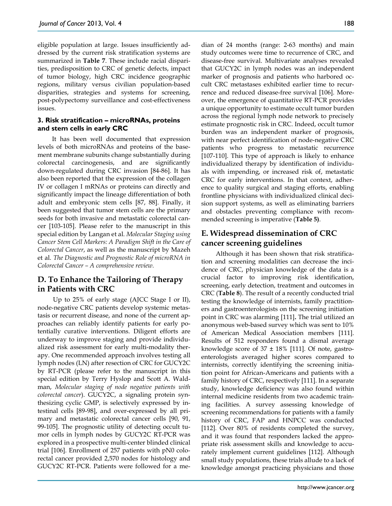eligible population at large. Issues insufficiently addressed by the current risk stratification systems are summarized in **Table 7**. These include racial disparities, predisposition to CRC of genetic defects, impact of tumor biology, high CRC incidence geographic regions, military versus civilian population-based disparities, strategies and systems for screening, post-polypectomy surveillance and cost-effectiveness issues.

### **3. Risk stratification – microRNAs, proteins and stem cells in early CRC**

It has been well documented that expression levels of both microRNAs and proteins of the basement membrane subunits change substantially during colorectal carcinogenesis, and are significantly down-regulated during CRC invasion [84-86]. It has also been reported that the expression of the collagen IV or collagen I mRNAs or proteins can directly and significantly impact the lineage differentiation of both adult and embryonic stem cells [87, 88]. Finally, it been suggested that tumor stem cells are the primary seeds for both invasive and metastatic colorectal cancer [103-105]. Please refer to the manuscript in this special edition by Langan et al. *Molecular Staging using Cancer Stem Cell Markers: A Paradigm Shift in the Care of Colorectal Cancer*, as well as the manuscript by Mazeh et al. *The Diagnostic and Prognostic Role of microRNA in Colorectal Cancer – A comprehensive review.*

# **D. To Enhance the Tailoring of Therapy in Patients with CRC**

Up to 25% of early stage (AJCC Stage I or II), node-negative CRC patients develop systemic metastasis or recurrent disease, and none of the current approaches can reliably identify patients for early potentially curative interventions. Diligent efforts are underway to improve staging and provide individualized risk assessment for early multi-modality therapy. One recommended approach involves testing all lymph nodes (LN) after resection of CRC for GUCY2C by RT-PCR (please refer to the manuscript in this special edition by Terry Hyslop and Scott A. Waldman, *Molecular staging of node negative patients with colorectal cancer*). GUCY2C, a signaling protein synthesizing cyclic GMP, is selectively expressed by intestinal cells [89-98], and over-expressed by all primary and metastatic colorectal cancer cells [90, 91, 99-105]. The prognostic utility of detecting occult tumor cells in lymph nodes by GUCY2C RT-PCR was explored in a prospective multi-center blinded clinical trial [106]. Enrollment of 257 patients with pN0 colorectal cancer provided 2,570 nodes for histology and GUCY2C RT-PCR. Patients were followed for a median of 24 months (range: 2-63 months) and main study outcomes were time to recurrence of CRC, and disease-free survival. Multivariate analyses revealed that GUCY2C in lymph nodes was an independent marker of prognosis and patients who harbored occult CRC metastases exhibited earlier time to recurrence and reduced disease-free survival [106]. Moreover, the emergence of quantitative RT-PCR provides a unique opportunity to estimate occult tumor burden across the regional lymph node network to precisely estimate prognostic risk in CRC. Indeed, occult tumor burden was an independent marker of prognosis, with near perfect identification of node-negative CRC patients who progress to metastatic recurrence [107-110]. This type of approach is likely to enhance individualized therapy by identification of individuals with impending, or increased risk of, metastatic CRC for early interventions. In that context, adherence to quality surgical and staging efforts, enabling frontline physicians with individualized clinical decision support systems, as well as eliminating barriers and obstacles preventing compliance with recommended screening is imperative (**Table 5)**.

# **E. Widespread dissemination of CRC cancer screening guidelines**

Although it has been shown that risk stratification and screening modalities can decrease the incidence of CRC, physician knowledge of the data is a crucial factor to improving risk identification, screening, early detection, treatment and outcomes in CRC (**Table 8**). The result of a recently conducted trial testing the knowledge of internists, family practitioners and gastroenterologists on the screening initiation point in CRC was alarming [111]**.** The trial utilized an anonymous web-based survey which was sent to 10% of American Medical Association members [111]. Results of 512 responders found a dismal average knowledge score of  $37 \pm 18\%$  [111]. Of note, gastroenterologists averaged higher scores compared to internists, correctly identifying the screening initiation point for African-Americans and patients with a family history of CRC, respectively [111]. In a separate study, knowledge deficiency was also found within internal medicine residents from two academic training facilities. A survey assessing knowledge of screening recommendations for patients with a family history of CRC, FAP and HNPCC was conducted [112]. Over 80% of residents completed the survey, and it was found that responders lacked the appropriate risk assessment skills and knowledge to accurately implement current guidelines [112]. Although small study populations, these trials allude to a lack of knowledge amongst practicing physicians and those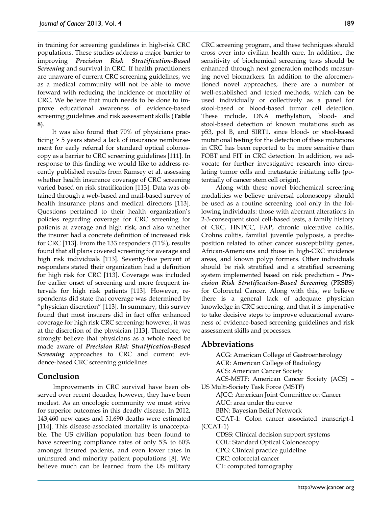in training for screening guidelines in high-risk CRC populations. These studies address a major barrier to improving *Precision Risk Stratification-Based Screening* and survival in CRC. If health practitioners are unaware of current CRC screening guidelines, we as a medical community will not be able to move forward with reducing the incidence or mortality of CRC. We believe that much needs to be done to improve educational awareness of evidence-based screening guidelines and risk assessment skills (**Table 8**).

It was also found that 70% of physicians practicing > 5 years stated a lack of insurance reimbursement for early referral for standard optical colonoscopy as a barrier to CRC screening guidelines [111]. In response to this finding we would like to address recently published results from Ramsey et al. assessing whether health insurance coverage of CRC screening varied based on risk stratification [113]. Data was obtained through a web-based and mail-based survey of health insurance plans and medical directors [113]. Questions pertained to their health organization's policies regarding coverage for CRC screening for patients at average and high risk, and also whether the insurer had a concrete definition of increased risk for CRC [113]. From the 133 responders (11%), results found that all plans covered screening for average and high risk individuals [113]. Seventy-five percent of responders stated their organization had a definition for high risk for CRC [113]. Coverage was included for earlier onset of screening and more frequent intervals for high risk patients [113]. However, respondents did state that coverage was determined by "physician discretion" [113]. In summary, this survey found that most insurers did in fact offer enhanced coverage for high risk CRC screening; however, it was at the discretion of the physician [113]. Therefore, we strongly believe that physicians as a whole need be made aware of *Precision Risk Stratification-Based Screening* approaches to CRC and current evidence-based CRC screening guidelines.

# **Conclusion**

Improvements in CRC survival have been observed over recent decades; however, they have been modest. As an oncologic community we must strive for superior outcomes in this deadly disease. In 2012, 143,460 new cases and 51,690 deaths were estimated [114]. This disease-associated mortality is unacceptable. The US civilian population has been found to have screening compliance rates of only 5% to 60% amongst insured patients, and even lower rates in uninsured and minority patient populations [8]. We believe much can be learned from the US military CRC screening program, and these techniques should cross over into civilian health care. In addition, the sensitivity of biochemical screening tests should be enhanced through next generation methods measuring novel biomarkers. In addition to the aforementioned novel approaches, there are a number of well-established and tested methods, which can be used individually or collectively as a panel for stool-based or blood-based tumor cell detection. These include, DNA methylation, blood- and stool-based detection of known mutations such as p53, pol B, and SIRT1, since blood- or stool-based mutational testing for the detection of these mutations in CRC has been reported to be more sensitive than FOBT and FIT in CRC detection. In addition, we advocate for further investigative research into circulating tumor cells and metastatic initiating cells (potentially of cancer stem cell origin).

Along with these novel biochemical screening modalities we believe universal colonoscopy should be used as a routine screening tool only in the following individuals: those with aberrant alterations in 2-3-consequent stool cell-based tests, a family history of CRC, HNPCC, FAP, chronic ulcerative colitis, Crohns colitis, familial juvenile polyposis, a predisposition related to other cancer susceptibility genes, African-Americans and those in high-CRC incidence areas, and known polyp formers. Other individuals should be risk stratified and a stratified screening system implemented based on risk prediction – *Precision Risk Stratification-Based Screenin*g (PRSBS) for Colorectal Cancer. Along with this, we believe there is a general lack of adequate physician knowledge in CRC screening, and that it is imperative to take decisive steps to improve educational awareness of evidence-based screening guidelines and risk assessment skills and processes.

## **Abbreviations**

ACG: American College of Gastroenterology ACR: American College of Radiology ACS: American Cancer Society ACS-MSTF: American Cancer Society (ACS) – US Multi-Society Task Force (MSTF) AJCC: American Joint Committee on Cancer AUC: area under the curve BBN: Bayesian Belief Network CCAT-1: Colon cancer associated transcript-1 (CCAT-1) CDSS: Clinical decision support systems COL: Standard Optical Colonoscopy CPG: Clinical practice guideline CRC: colorectal cancer CT: computed tomography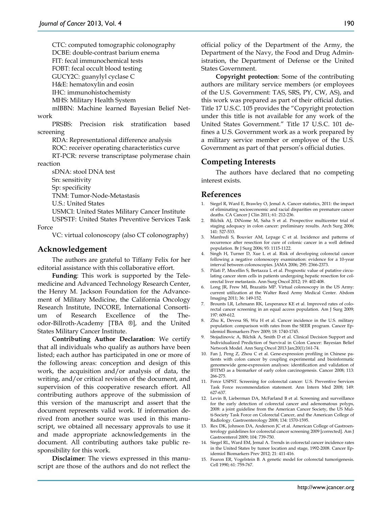- CTC: computed tomographic colonography
- DCBE: double-contrast barium enema
- FIT: fecal immunochemical tests
- FOBT: fecal occult blood testing
- GUCY2C: guanylyl cyclase C
- H&E: hematoxylin and eosin
- IHC: immunohistochemisty
- MHS: Military Health System
- mlBBN: Machine learned Bayesian Belief Network
- PRSBS: Precision risk stratification based screening
	- RDA: Representational difference analysis
	- ROC: receiver operating characteristics curve
- RT-PCR: reverse transcriptase polymerase chain reaction
	- sDNA: stool DNA test
	- Sn: sensitivity
	- Sp: specificity
	- TNM: Tumor-Node-Metastasis
	- U.S.: United States
	- USMCI: United States Military Cancer Institute
- USPSTF: United States Preventive Services Task Force
	- VC: virtual colonoscopy (also CT colonography)

# **Acknowledgement**

The authors are grateful to Tiffany Felix for her editorial assistance with this collaborative effort.

**Funding**: This work is supported by the Telemedicine and Advanced Technology Research Center, the Henry M. Jackson Foundation for the Advancement of Military Medicine, the California Oncology Research Institute, INCORE, International Consortium of Research Excellence of the Theodor-Billroth-Academy [TBA ®], and the United States Military Cancer Institute.

**Contributing Author Declaration**: We certify that all individuals who qualify as authors have been listed; each author has participated in one or more of the following areas: conception and design of this work, the acquisition and/or analysis of data, the writing, and/or critical revision of the document, and supervision of this cooperative research effort. All contributing authors approve of the submission of this version of the manuscript and assert that the document represents valid work. If information derived from another source was used in this manuscript, we obtained all necessary approvals to use it and made appropriate acknowledgements in the document. All contributing authors take public responsibility for this work.

**Disclaimer**: The views expressed in this manuscript are those of the authors and do not reflect the official policy of the Department of the Army, the Department of the Navy, the Food and Drug Administration, the Department of Defense or the United States Government.

**Copyright protection**: Some of the contributing authors are military service members (or employees of the U.S. Government: TAS, SRS, PY, CW, AS), and this work was prepared as part of their official duties. Title 17 U.S.C. 105 provides the "Copyright protection under this title is not available for any work of the United States Government." Title 17 U.S.C. 101 defines a U.S. Government work as a work prepared by a military service member or employee of the U.S. Government as part of that person's official duties.

# **Competing Interests**

The authors have declared that no competing interest exists.

# **References**

- 1. Siegel R, Ward E, Brawley O, Jemal A. Cancer statistics, 2011: the impact of eliminating socioeconomic and racial disparities on premature cancer deaths. CA Cancer J Clin 2011; 61: 212-236.
- 2. Bilchik AJ, DiNome M, Saha S et al. Prospective multicenter trial of staging adequacy in colon cancer: preliminary results. Arch Surg 2006; 141: 527-533.
- 3. Manfredi S, Bouvier AM, Lepage C et al. Incidence and patterns of recurrence after resection for cure of colonic cancer in a well defined population. Br J Surg 2006; 93: 1115-1122.
- 4. Singh H, Turner D, Xue L et al. Risk of developing colorectal cancer following a negative colonoscopy examination: evidence for a 10-year interval between colonoscopies. JAMA 2006; 295: 2366-2373.
- 5. Pilati P, Mocellin S, Bertazza L et al. Prognostic value of putative circulating cancer stem cells in patients undergoing hepatic resection for colorectal liver metastasis. Ann Surg Oncol 2012; 19: 402-408.
- 6. Long JR, Frew MI, Brazaitis MP. Virtual colonoscopy in the US Army: current utilization at the Walter Reed Army Medical Center. Abdom Imaging 2011; 36: 149-152.
- 7. Brounts LR, Lehmann RK, Lesperance KE et al. Improved rates of colorectal cancer screening in an equal access population. Am J Surg 2009; 197: 609-612.
- 8. Zhu K, Devesa SS, Wu H et al. Cancer incidence in the U.S. military population: comparison with rates from the SEER program. Cancer Epidemiol Biomarkers Prev 2009; 18: 1740-1745.
- 9. Stojadinovic A, Bilchik A, Smith D et al. Clinical Decision Support and Individualized Prediction of Survival in Colon Cancer: Bayesian Belief Network Model. Ann Surg Oncol 2013 Jan;20(1):161-74.
- 10. Fan J, Peng Z, Zhou C et al. Gene-expression profiling in Chinese patients with colon cancer by coupling experimental and bioinformatic genomewide gene-expression analyses: identification and validation of IFITM3 as a biomarker of early colon carcinogenesis. Cancer 2008; 113: 266-275.
- 11. Force USPST. Screening for colorectal cancer: U.S. Preventive Services Task Force recommendation statement. Ann Intern Med 2008; 149: 627-637.
- 12. Levin B, Lieberman DA, McFarland B et al. Screening and surveillance for the early detection of colorectal cancer and adenomatous polyps, 2008: a joint guideline from the American Cancer Society, the US Multi-Society Task Force on Colorectal Cancer, and the American College of Radiology. Gastroenterology 2008; 134: 1570-1595.
- 13. Rex DK, Johnson DA, Anderson JC et al. American College of Gastroenterology guidelines for colorectal cancer screening 2009 [corrected]. Am J Gastroenterol 2009; 104: 739-750.
- 14. Siegel RL, Ward EM, Jemal A. Trends in colorectal cancer incidence rates in the United States by tumor location and stage, 1992-2008. Cancer Epidemiol Biomarkers Prev 2012; 21: 411-416.
- 15. Fearon ER, Vogelstein B. A genetic model for colorectal tumorigenesis. Cell 1990; 61: 759-767.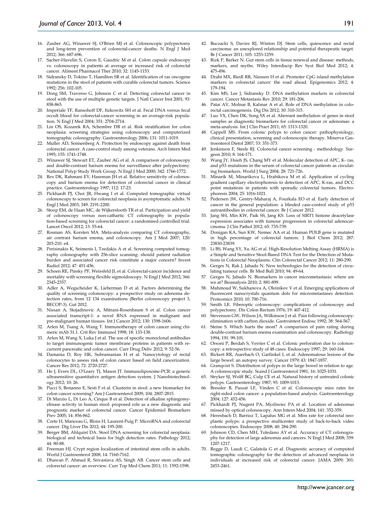- 16. Zauber AG, Winawer SJ, O'Brien MJ et al. Colonoscopic polypectomy and long-term prevention of colorectal-cancer deaths. N Engl J Med 2012; 366: 687-696.
- 17. Sacher-Huvelin S, Coron E, Gaudric M et al. Colon capsule endoscopy vs. colonoscopy in patients at average or increased risk of colorectal cancer. Aliment Pharmacol Ther 2010; 32: 1145-1153.
- 18. Sidransky D, Tokino T, Hamilton SR et al. Identification of ras oncogene mutations in the stool of patients with curable colorectal tumors. Science 1992; 256: 102-105.
- 19. Dong SM, Traverso G, Johnson C et al. Detecting colorectal cancer in stool with the use of multiple genetic targets. J Natl Cancer Inst 2001; 93: 858-865.
- 20. Imperiale TF, Ransohoff DF, Itzkowitz SH et al. Fecal DNA versus fecal occult blood for colorectal-cancer screening in an average-risk population. N Engl J Med 2004; 351: 2704-2714.
- 21. Lin OS, Kozarek RA, Schembre DB et al. Risk stratification for colon neoplasia: screening strategies using colonoscopy and computerized tomographic colonography. Gastroenterology 2006; 131: 1011-1019.
- 22. Muller AD, Sonnenberg A. Protection by endoscopy against death from colorectal cancer. A case-control study among veterans. Arch Intern Med 1995; 155: 1741-1748.
- 23. Winawer SJ, Stewart ET, Zauber AG et al. A comparison of colonoscopy and double-contrast barium enema for surveillance after polypectomy. National Polyp Study Work Group. N Engl J Med 2000; 342: 1766-1772.
- 24. Rex DK, Rahmani EY, Haseman JH et al. Relative sensitivity of colonoscopy and barium enema for detection of colorectal cancer in clinical practice. Gastroenterology 1997; 112: 17-23.
- 25. Pickhardt PJ, Choi JR, Hwang I et al. Computed tomographic virtual colonoscopy to screen for colorectal neoplasia in asymptomatic adults. N Engl J Med 2003; 349: 2191-2200.
- 26. Stoop EM, de Haan MC, de Wijkerslooth TR et al. Participation and yield of colonoscopy versus non-cathartic CT colonography in population-based screening for colorectal cancer: a randomised controlled trial. Lancet Oncol 2012; 13: 55-64.
- 27. Rosman AS, Korsten MA. Meta-analysis comparing CT colonography, air contrast barium enema, and colonoscopy. Am J Med 2007; 120: 203-210. e4.
- 28. Perisinakis K, Seimenis I, Tzedakis A et al. Screening computed tomography colonography with 256-slice scanning: should patient radiation burden and associated cancer risk constitute a major concern? Invest Radiol 2012; 47: 451-456.
- 29. Schoen RE, Pinsky PF, Weissfeld JL et al. Colorectal-cancer incidence and mortality with screening flexible sigmoidoscopy. N Engl J Med 2012; 366: 2345-2357.
- 30. Adler A, Wegscheider K, Lieberman D et al. Factors determining the quality of screening colonoscopy: a prospective study on adenoma detection rates, from 12 134 examinations (Berlin colonoscopy project 3, BECOP-3). Gut 2012.
- 31. Nissan A, Stojadinovic A, Mitrani-Rosenbaum S et al. Colon cancer associated transcript-1: a novel RNA expressed in malignant and pre-malignant human tissues. Int J Cancer 2012; 130: 1598-1606.
- 32. Arlen M, Tsang A, Wang T. Immunotherapy of colon cancer using chimeric mAb 31.1. Crit Rev Immunol 1998; 18: 133-138.
- 33. Arlen M, Wang X, Luka J et al. The use of specific monoclonal antibodies to target immunogenic tumor membrane proteins in patients with recurrent pancreatic and colon cancer. Curr Drug Deliv 2012; 9: 52-56.
- 34. Damania D, Roy HK, Subramanian H et al. Nanocytology of rectal colonocytes to assess risk of colon cancer based on field cancerization. Cancer Res 2012; 72: 2720-2727.
- 35. He J, Evers DL, O'Leary TJ, Mason JT. Immunoliposome-PCR: a generic ultrasensitive quantitative antigen detection system. J Nanobiotechnology 2012; 10: 26.
- 36. Pucci S, Bonanno E, Sesti F et al. Clusterin in stool: a new biomarker for colon cancer screening? Am J Gastroenterol 2009; 104: 2807-2815.
- 37. Di Marzio L, Di Leo A, Cinque B et al. Detection of alkaline sphingomyelinase activity in human stool: proposed role as a new diagnostic and prognostic marker of colorectal cancer. Cancer Epidemiol Biomarkers Prev 2005; 14: 856-862.
- 38. Corte H, Manceau G, Blons H, Laurent-Puig P. MicroRNA and colorectal cancer. Dig Liver Dis 2012; 44: 195-200.
- 39. Berger BM, Ahlquist DA. Stool DNA screening for colorectal neoplasia: biological and technical basis for high detection rates. Pathology 2012; 44: 80-88.
- 40. Freeman HJ. Crypt region localization of intestinal stem cells in adults. World J Gastroenterol 2008; 14: 7160-7162.
- 41. Dhawan P, Ahmad R, Srivastava AS, Singh AB. Cancer stem cells and colorectal cancer: an overview. Curr Top Med Chem 2011; 11: 1592-1598.
- 42. Buczacki S, Davies RJ, Winton DJ. Stem cells, quiescence and rectal carcinoma: an unexplored relationship and potential therapeutic target. Br J Cancer 2011; 105: 1253-1259.
- 43. Rizk P, Barker N. Gut stem cells in tissue renewal and disease: methods, markers, and myths. Wiley Interdiscip Rev Syst Biol Med 2012; 4: 475-496.
- 44. Draht MX, Riedl RR, Niessen H et al. Promoter CpG island methylation markers in colorectal cancer: the road ahead. Epigenomics 2012; 4: 179-194.
- 45. Kim MS, Lee J, Sidransky D. DNA methylation markers in colorectal cancer. Cancer Metastasis Rev 2010; 29: 181-206.
- 46. Patai AV, Molnar B, Kalmar A et al. Role of DNA methylation in colorectal carcinogenesis. Dig Dis 2012; 30: 310-315.
- 47. Luo YX, Chen DK, Song SX et al. Aberrant methylation of genes in stool samples as diagnostic biomarkers for colorectal cancer or adenomas: a meta-analysis. Int J Clin Pract 2011; 65: 1313-1320.
- 48. Cappell MS. From colonic polyps to colon cancer: pathophysiology, clinical presentation, screening and colonoscopic therapy. Minerva Gastroenterol Dietol 2007; 53: 351-373.
- 49. Jenkinson F, Steele RJ. Colorectal cancer screening methodology. Surgeon 2010; 8: 164-171.
- 50. Wang JY, Hsieh JS, Chang MY et al. Molecular detection of APC, K- ras, and p53 mutations in the serum of colorectal cancer patients as circulating biomarkers. World J Surg 2004; 28: 721-726.
- 51. Minarik M, Minarikova L, Hrabikova M et al. Application of cycling gradient capillary electrophoresis to detection of APC, K-ras, and DCC point mutations in patients with sporadic colorectal tumors. Electrophoresis 2004; 25: 1016-1021.
- 52. Pedersen JW, Gentry-Maharaj A, Fourkala EO et al. Early detection of cancer in the general population: a blinded case-control study of p53 autoantibodies in colorectal cancer. Br J Cancer 2012.
- 53. Jang SH, Min KW, Paik SS, Jang KS. Loss of SIRT1 histone deacetylase expression associates with tumour progression in colorectal adenocarcinoma. J Clin Pathol 2012; 65: 735-739.
- 54. Donigan KA, Sun KW, Nemec AA et al. Human POLB gene is mutated in high percentage of colorectal tumors. J Biol Chem 2012; 287: 23830-23839.
- 55. Li BS, Wang XY, Xu AG et al. High-Resolution Melting Assay (HRMA) is a Simple and Sensitive Stool-Based DNA Test for the Detection of Mutations in Colorectal Neoplasms. Clin Colorectal Cancer 2012; 11: 280-290.
- 56. Gerges N, Rak J, Jabado N. New technologies for the detection of circulating tumour cells. Br Med Bull 2010; 94: 49-64.
- 57. Gerges N, Jabado N. Biomarkers in cancer micrometastasis: where are we at? Bioanalysis 2010; 2: 881-899.
- 58. Mahmoud W, Sukhanova A, Oleinikov V et al. Emerging applications of fluorescent nanocrystals quantum dots for micrometastases detection. Proteomics 2010; 10: 700-716.
- 59. Smith LE. Fiberoptic colonoscopy: complications of colonoscopy and polypectomy. Dis Colon Rectum 1976; 19: 407-412.
- 60. Stevenson GW, Wilson JA, Wilkinson J et al. Pain following colonoscopy: elimination with carbon dioxide. Gastrointest Endosc 1992; 38: 564-567.
- 61. Steine S. Which hurts the most? A comparison of pain rating during double-contrast barium enema examination and colonoscopy. Radiology 1994; 191: 99-101.
- 62. Orsoni P, Berdah S, Verrier C et al. Colonic perforation due to colonoscopy: a retrospective study of 48 cases. Endoscopy 1997; 29: 160-164.
- 63. Rickert RR, Auerbach O, Garfinkel L et al. Adenomatous lesions of the large bowel: an autopsy survey. Cancer 1979; 43: 1847-1857.
- 64. Granqvist S. Distribution of polyps in the large bowel in relation to age. A colonoscopic study. Scand J Gastroenterol 1981; 16: 1025-1031.
- 65. Stryker SJ, Wolff BG, Culp CE et al. Natural history of untreated colonic polyps. Gastroenterology 1987; 93: 1009-1013.
- 66. Bressler B, Paszat LF, Vinden C et al. Colonoscopic miss rates for right-sided colon cancer: a population-based analysis. Gastroenterology 2004; 127: 452-456.
- 67. Pickhardt PJ, Nugent PA, Mysliwiec PA et al. Location of adenomas missed by optical colonoscopy. Ann Intern Med 2004; 141: 352-359.
- 68. Heresbach D, Barrioz T, Lapalus MG et al. Miss rate for colorectal neoplastic polyps: a prospective multicenter study of back-to-back video colonoscopies. Endoscopy 2008; 40: 284-290.
- 69. Johnson CD, Chen MH, Toledano AY et al. Accuracy of CT colonography for detection of large adenomas and cancers. N Engl J Med 2008; 359: 1207-1217.
- 70. Regge D, Laudi C, Galatola G et al. Diagnostic accuracy of computed tomographic colonography for the detection of advanced neoplasia in individuals at increased risk of colorectal cancer. JAMA 2009; 301: 2453-2461.